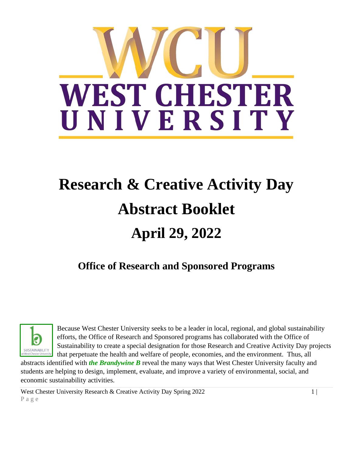

# **Research & Creative Activity Day Abstract Booklet April 29, 2022**

# **Office of Research and Sponsored Programs**



Because West Chester University seeks to be a leader in local, regional, and global sustainability efforts, the Office of Research and Sponsored programs has collaborated with the Office of Sustainability to create a special designation for those Research and Creative Activity Day projects that perpetuate the health and welfare of people, economies, and the environment. Thus, all

abstracts identified with *the Brandywine B* reveal the many ways that West Chester University faculty and students are helping to design, implement, evaluate, and improve a variety of environmental, social, and economic sustainability activities.

West Chester University Research & Creative Activity Day Spring  $2022$  1 P a g e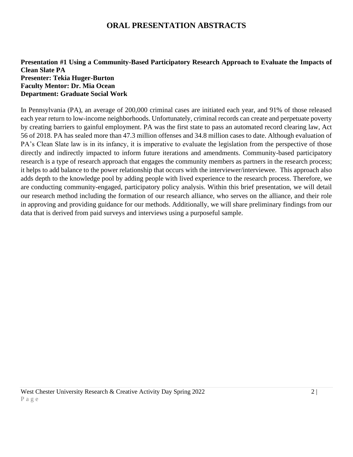### **ORAL PRESENTATION ABSTRACTS**

#### **Presentation #1 Using a Community-Based Participatory Research Approach to Evaluate the Impacts of Clean Slate PA Presenter: Tekia Huger-Burton Faculty Mentor: Dr. Mia Ocean Department: Graduate Social Work**

In Pennsylvania (PA), an average of 200,000 criminal cases are initiated each year, and 91% of those released each year return to low-income neighborhoods. Unfortunately, criminal records can create and perpetuate poverty by creating barriers to gainful employment. PA was the first state to pass an automated record clearing law, Act 56 of 2018. PA has sealed more than 47.3 million offenses and 34.8 million cases to date. Although evaluation of PA's Clean Slate law is in its infancy, it is imperative to evaluate the legislation from the perspective of those directly and indirectly impacted to inform future iterations and amendments. Community-based participatory research is a type of research approach that engages the community members as partners in the research process; it helps to add balance to the power relationship that occurs with the interviewer/interviewee. This approach also adds depth to the knowledge pool by adding people with lived experience to the research process. Therefore, we are conducting community-engaged, participatory policy analysis. Within this brief presentation, we will detail our research method including the formation of our research alliance, who serves on the alliance, and their role in approving and providing guidance for our methods. Additionally, we will share preliminary findings from our data that is derived from paid surveys and interviews using a purposeful sample.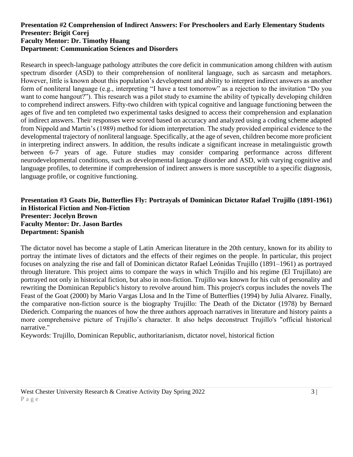#### **Presentation #2 Comprehension of Indirect Answers: For Preschoolers and Early Elementary Students Presenter: Brigit Corej Faculty Mentor: Dr. Timothy Huang Department: Communication Sciences and Disorders**

Research in speech-language pathology attributes the core deficit in communication among children with autism spectrum disorder (ASD) to their comprehension of nonliteral language, such as sarcasm and metaphors. However, little is known about this population's development and ability to interpret indirect answers as another form of nonliteral language (e.g., interpreting "I have a test tomorrow" as a rejection to the invitation "Do you want to come hangout?"). This research was a pilot study to examine the ability of typically developing children to comprehend indirect answers. Fifty-two children with typical cognitive and language functioning between the ages of five and ten completed two experimental tasks designed to access their comprehension and explanation of indirect answers. Their responses were scored based on accuracy and analyzed using a coding scheme adapted from Nippold and Martin's (1989) method for idiom interpretation. The study provided empirical evidence to the developmental trajectory of nonliteral language. Specifically, at the age of seven, children become more proficient in interpreting indirect answers. In addition, the results indicate a significant increase in metalinguistic growth between 6-7 years of age. Future studies may consider comparing performance across different neurodevelopmental conditions, such as developmental language disorder and ASD, with varying cognitive and language profiles, to determine if comprehension of indirect answers is more susceptible to a specific diagnosis, language profile, or cognitive functioning.

#### **Presentation #3 Goats Die, Butterflies Fly: Portrayals of Dominican Dictator Rafael Trujillo (1891-1961) in Historical Fiction and Non-Fiction Presenter: Jocelyn Brown Faculty Mentor: Dr. Jason Bartles Department: Spanish**

The dictator novel has become a staple of Latin American literature in the 20th century, known for its ability to portray the intimate lives of dictators and the effects of their regimes on the people. In particular, this project focuses on analyzing the rise and fall of Dominican dictator Rafael Leónidas Trujillo (1891–1961) as portrayed through literature. This project aims to compare the ways in which Trujillo and his regime (El Trujillato) are portrayed not only in historical fiction, but also in non-fiction. Trujillo was known for his cult of personality and rewriting the Dominican Republic's history to revolve around him. This project's corpus includes the novels The Feast of the Goat (2000) by Mario Vargas Llosa and In the Time of Butterflies (1994) by Julia Alvarez. Finally, the comparative non-fiction source is the biography Trujillo: The Death of the Dictator (1978) by Bernard Diederich. Comparing the nuances of how the three authors approach narratives in literature and history paints a more comprehensive picture of Trujillo's character. It also helps deconstruct Trujillo's "official historical narrative."

Keywords: Trujillo, Dominican Republic, authoritarianism, dictator novel, historical fiction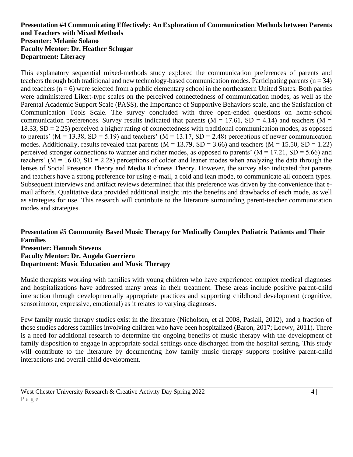#### **Presentation #4 Communicating Effectively: An Exploration of Communication Methods between Parents and Teachers with Mixed Methods Presenter: Melanie Solano Faculty Mentor: Dr. Heather Schugar Department: Literacy**

This explanatory sequential mixed-methods study explored the communication preferences of parents and teachers through both traditional and new technology-based communication modes. Participating parents ( $n = 34$ ) and teachers  $(n = 6)$  were selected from a public elementary school in the northeastern United States. Both parties were administered Likert-type scales on the perceived connectedness of communication modes, as well as the Parental Academic Support Scale (PASS), the Importance of Supportive Behaviors scale, and the Satisfaction of Communication Tools Scale. The survey concluded with three open-ended questions on home-school communication preferences. Survey results indicated that parents ( $M = 17.61$ ,  $SD = 4.14$ ) and teachers ( $M =$ 18.33, SD = 2.25) perceived a higher rating of connectedness with traditional communication modes, as opposed to parents' ( $M = 13.38$ ,  $SD = 5.19$ ) and teachers' ( $M = 13.17$ ,  $SD = 2.48$ ) perceptions of newer communication modes. Additionally, results revealed that parents ( $M = 13.79$ ,  $SD = 3.66$ ) and teachers ( $M = 15.50$ ,  $SD = 1.22$ ) perceived stronger connections to warmer and richer modes, as opposed to parents' ( $M = 17.21$ , SD = 5.66) and teachers' ( $M = 16.00$ ,  $SD = 2.28$ ) perceptions of colder and leaner modes when analyzing the data through the lenses of Social Presence Theory and Media Richness Theory. However, the survey also indicated that parents and teachers have a strong preference for using e-mail, a cold and lean mode, to communicate all concern types. Subsequent interviews and artifact reviews determined that this preference was driven by the convenience that email affords. Qualitative data provided additional insight into the benefits and drawbacks of each mode, as well as strategies for use. This research will contribute to the literature surrounding parent-teacher communication modes and strategies.

#### **Presentation #5 Community Based Music Therapy for Medically Complex Pediatric Patients and Their Families Presenter: Hannah Stevens Faculty Mentor: Dr. Angela Guerriero Department: Music Education and Music Therapy**

Music therapists working with families with young children who have experienced complex medical diagnoses and hospitalizations have addressed many areas in their treatment. These areas include positive parent-child interaction through developmentally appropriate practices and supporting childhood development (cognitive, sensorimotor, expressive, emotional) as it relates to varying diagnoses.

Few family music therapy studies exist in the literature (Nicholson, et al 2008, Pasiali, 2012), and a fraction of those studies address families involving children who have been hospitalized (Baron, 2017; Loewy, 2011). There is a need for additional research to determine the ongoing benefits of music therapy with the development of family disposition to engage in appropriate social settings once discharged from the hospital setting. This study will contribute to the literature by documenting how family music therapy supports positive parent-child interactions and overall child development.

West Chester University Research & Creative Activity Day Spring 2022 4 | 4 P a g e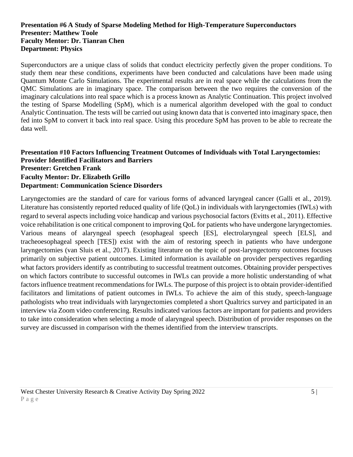#### **Presentation #6 A Study of Sparse Modeling Method for High-Temperature Superconductors Presenter: Matthew Toole Faculty Mentor: Dr. Tianran Chen Department: Physics**

Superconductors are a unique class of solids that conduct electricity perfectly given the proper conditions. To study them near these conditions, experiments have been conducted and calculations have been made using Quantum Monte Carlo Simulations. The experimental results are in real space while the calculations from the QMC Simulations are in imaginary space. The comparison between the two requires the conversion of the imaginary calculations into real space which is a process known as Analytic Continuation. This project involved the testing of Sparse Modelling (SpM), which is a numerical algorithm developed with the goal to conduct Analytic Continuation. The tests will be carried out using known data that is converted into imaginary space, then fed into SpM to convert it back into real space. Using this procedure SpM has proven to be able to recreate the data well.

#### **Presentation #10 Factors Influencing Treatment Outcomes of Individuals with Total Laryngectomies: Provider Identified Facilitators and Barriers Presenter: Gretchen Frank Faculty Mentor: Dr. Elizabeth Grillo Department: Communication Science Disorders**

Laryngectomies are the standard of care for various forms of advanced laryngeal cancer (Galli et al., 2019). Literature has consistently reported reduced quality of life (QoL) in individuals with laryngectomies (IWLs) with regard to several aspects including voice handicap and various psychosocial factors (Evitts et al., 2011). Effective voice rehabilitation is one critical component to improving QoL for patients who have undergone laryngectomies. Various means of alaryngeal speech (esophageal speech [ES], electrolaryngeal speech [ELS], and tracheoesophageal speech [TES]) exist with the aim of restoring speech in patients who have undergone laryngectomies (van Sluis et al., 2017). Existing literature on the topic of post-laryngectomy outcomes focuses primarily on subjective patient outcomes. Limited information is available on provider perspectives regarding what factors providers identify as contributing to successful treatment outcomes. Obtaining provider perspectives on which factors contribute to successful outcomes in IWLs can provide a more holistic understanding of what factors influence treatment recommendations for IWLs. The purpose of this project is to obtain provider-identified facilitators and limitations of patient outcomes in IWLs. To achieve the aim of this study, speech-language pathologists who treat individuals with laryngectomies completed a short Qualtrics survey and participated in an interview via Zoom video conferencing. Results indicated various factors are important for patients and providers to take into consideration when selecting a mode of alaryngeal speech. Distribution of provider responses on the survey are discussed in comparison with the themes identified from the interview transcripts.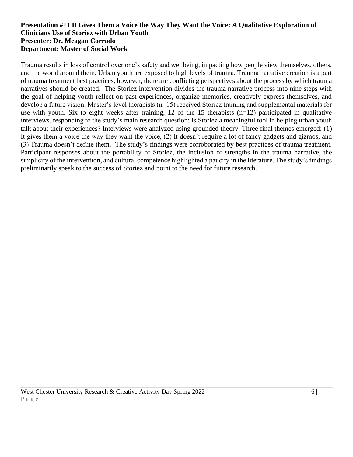#### **Presentation #11 It Gives Them a Voice the Way They Want the Voice: A Qualitative Exploration of Clinicians Use of Storiez with Urban Youth Presenter: Dr. Meagan Corrado Department: Master of Social Work**

Trauma results in loss of control over one's safety and wellbeing, impacting how people view themselves, others, and the world around them. Urban youth are exposed to high levels of trauma. Trauma narrative creation is a part of trauma treatment best practices, however, there are conflicting perspectives about the process by which trauma narratives should be created. The Storiez intervention divides the trauma narrative process into nine steps with the goal of helping youth reflect on past experiences, organize memories, creatively express themselves, and develop a future vision. Master's level therapists (n=15) received Storiez training and supplemental materials for use with youth. Six to eight weeks after training, 12 of the 15 therapists (n=12) participated in qualitative interviews, responding to the study's main research question: Is Storiez a meaningful tool in helping urban youth talk about their experiences? Interviews were analyzed using grounded theory. Three final themes emerged: (1) It gives them a voice the way they want the voice, (2) It doesn't require a lot of fancy gadgets and gizmos, and (3) Trauma doesn't define them. The study's findings were corroborated by best practices of trauma treatment. Participant responses about the portability of Storiez, the inclusion of strengths in the trauma narrative, the simplicity of the intervention, and cultural competence highlighted a paucity in the literature. The study's findings preliminarily speak to the success of Storiez and point to the need for future research.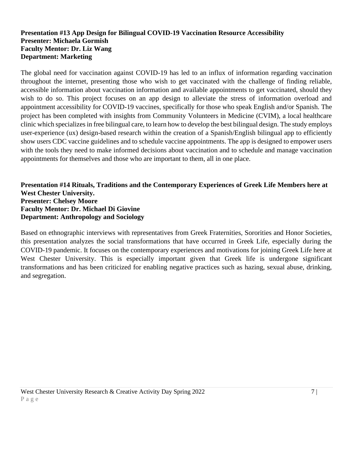#### **Presentation #13 App Design for Bilingual COVID-19 Vaccination Resource Accessibility Presenter: Michaela Gormish Faculty Mentor: Dr. Liz Wang Department: Marketing**

The global need for vaccination against COVID-19 has led to an influx of information regarding vaccination throughout the internet, presenting those who wish to get vaccinated with the challenge of finding reliable, accessible information about vaccination information and available appointments to get vaccinated, should they wish to do so. This project focuses on an app design to alleviate the stress of information overload and appointment accessibility for COVID-19 vaccines, specifically for those who speak English and/or Spanish. The project has been completed with insights from Community Volunteers in Medicine (CVIM), a local healthcare clinic which specializes in free bilingual care, to learn how to develop the best bilingual design. The study employs user-experience (ux) design-based research within the creation of a Spanish/English bilingual app to efficiently show users CDC vaccine guidelines and to schedule vaccine appointments. The app is designed to empower users with the tools they need to make informed decisions about vaccination and to schedule and manage vaccination appointments for themselves and those who are important to them, all in one place.

#### **Presentation #14 Rituals, Traditions and the Contemporary Experiences of Greek Life Members here at West Chester University. Presenter: Chelsey Moore Faculty Mentor: Dr. Michael Di Giovine Department: Anthropology and Sociology**

Based on ethnographic interviews with representatives from Greek Fraternities, Sororities and Honor Societies, this presentation analyzes the social transformations that have occurred in Greek Life, especially during the COVID-19 pandemic. It focuses on the contemporary experiences and motivations for joining Greek Life here at West Chester University. This is especially important given that Greek life is undergone significant transformations and has been criticized for enabling negative practices such as hazing, sexual abuse, drinking, and segregation.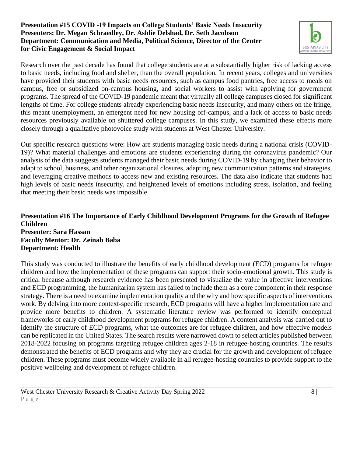#### **Presentation #15 COVID -19 Impacts on College Students' Basic Needs Insecurity Presenters: Dr. Megan Schraedley, Dr. Ashlie Delshad, Dr. Seth Jacobson Department: Communication and Media, Political Science, Director of the Center for Civic Engagement & Social Impact**



Research over the past decade has found that college students are at a substantially higher risk of lacking access to basic needs, including food and shelter, than the overall population. In recent years, colleges and universities have provided their students with basic needs resources, such as campus food pantries, free access to meals on campus, free or subsidized on-campus housing, and social workers to assist with applying for government programs. The spread of the COVID-19 pandemic meant that virtually all college campuses closed for significant lengths of time. For college students already experiencing basic needs insecurity, and many others on the fringe, this meant unemployment, an emergent need for new housing off-campus, and a lack of access to basic needs resources previously available on shuttered college campuses. In this study, we examined these effects more closely through a qualitative photovoice study with students at West Chester University.

Our specific research questions were: How are students managing basic needs during a national crisis (COVID-19)? What material challenges and emotions are students experiencing during the coronavirus pandemic? Our analysis of the data suggests students managed their basic needs during COVID-19 by changing their behavior to adapt to school, business, and other organizational closures, adapting new communication patterns and strategies, and leveraging creative methods to access new and existing resources. The data also indicate that students had high levels of basic needs insecurity, and heightened levels of emotions including stress, isolation, and feeling that meeting their basic needs was impossible.

#### **Presentation #16 The Importance of Early Childhood Development Programs for the Growth of Refugee Children Presenter: Sara Hassan Faculty Mentor: Dr. Zeinab Baba Department: Health**

This study was conducted to illustrate the benefits of early childhood development (ECD) programs for refugee children and how the implementation of these programs can support their socio-emotional growth. This study is critical because although research evidence has been presented to visualize the value in affective interventions and ECD programming, the humanitarian system has failed to include them as a core component in their response strategy. There is a need to examine implementation quality and the why and how specific aspects of interventions work. By delving into more context-specific research, ECD programs will have a higher implementation rate and provide more benefits to children. A systematic literature review was performed to identify conceptual frameworks of early childhood development programs for refugee children. A content analysis was carried out to identify the structure of ECD programs, what the outcomes are for refugee children, and how effective models can be replicated in the United States. The search results were narrowed down to select articles published between 2018-2022 focusing on programs targeting refugee children ages 2-18 in refugee-hosting countries. The results demonstrated the benefits of ECD programs and why they are crucial for the growth and development of refugee children. These programs must become widely available in all refugee-hosting countries to provide support to the positive wellbeing and development of refugee children.

West Chester University Research & Creative Activity Day Spring 2022 8 | Separate Base of the Second Law of the Second Second Second Second Second Second Second Second Second Second Second Second Second Second Second Secon P a g e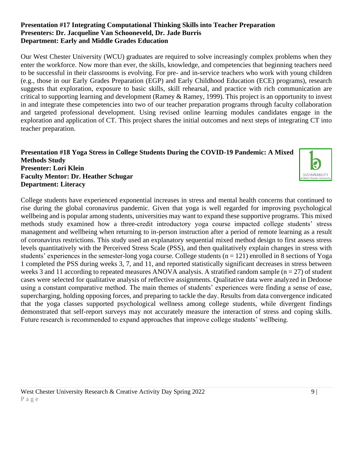#### **Presentation #17 Integrating Computational Thinking Skills into Teacher Preparation Presenters: Dr. Jacqueline Van Schooneveld, Dr. Jade Burris Department: Early and Middle Grades Education**

Our West Chester University (WCU) graduates are required to solve increasingly complex problems when they enter the workforce. Now more than ever, the skills, knowledge, and competencies that beginning teachers need to be successful in their classrooms is evolving. For pre- and in-service teachers who work with young children (e.g., those in our Early Grades Preparation (EGP) and Early Childhood Education (ECE) programs), research suggests that exploration, exposure to basic skills, skill rehearsal, and practice with rich communication are critical to supporting learning and development (Ramey & Ramey, 1999). This project is an opportunity to invest in and integrate these competencies into two of our teacher preparation programs through faculty collaboration and targeted professional development. Using revised online learning modules candidates engage in the exploration and application of CT. This project shares the initial outcomes and next steps of integrating CT into teacher preparation.

#### **Presentation #18 Yoga Stress in College Students During the COVID-19 Pandemic: A Mixed Methods Study Presenter: Lori Klein Faculty Mentor: Dr. Heather Schugar Department: Literacy**

College students have experienced exponential increases in stress and mental health concerns that continued to rise during the global coronavirus pandemic. Given that yoga is well regarded for improving psychological wellbeing and is popular among students, universities may want to expand these supportive programs. This mixed methods study examined how a three-credit introductory yoga course impacted college students' stress management and wellbeing when returning to in-person instruction after a period of remote learning as a result of coronavirus restrictions. This study used an explanatory sequential mixed method design to first assess stress levels quantitatively with the Perceived Stress Scale (PSS), and then qualitatively explain changes in stress with students' experiences in the semester-long yoga course. College students (n = 121) enrolled in 8 sections of Yoga 1 completed the PSS during weeks 3, 7, and 11, and reported statistically significant decreases in stress between weeks 3 and 11 according to repeated measures ANOVA analysis. A stratified random sample ( $n = 27$ ) of student cases were selected for qualitative analysis of reflective assignments. Qualitative data were analyzed in Dedoose using a constant comparative method. The main themes of students' experiences were finding a sense of ease, supercharging, holding opposing forces, and preparing to tackle the day. Results from data convergence indicated that the yoga classes supported psychological wellness among college students, while divergent findings demonstrated that self-report surveys may not accurately measure the interaction of stress and coping skills. Future research is recommended to expand approaches that improve college students' wellbeing.

**SUSTAINABILITY**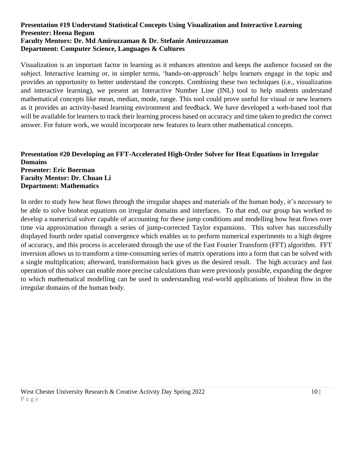#### **Presentation #19 Understand Statistical Concepts Using Visualization and Interactive Learning Presenter: Heena Begum Faculty Mentors: Dr. Md Amiruzzaman & Dr. Stefanie Amiruzzaman Department: Computer Science, Languages & Cultures**

Visualization is an important factor in learning as it enhances attention and keeps the audience focused on the subject. Interactive learning or, in simpler terms, 'hands-on-approach' helps learners engage in the topic and provides an opportunity to better understand the concepts. Combining these two techniques (i.e., visualization and interactive learning), we present an Interactive Number Line (INL) tool to help students understand mathematical concepts like mean, median, mode, range. This tool could prove useful for visual or new learners as it provides an activity-based learning environment and feedback. We have developed a web-based tool that will be available for learners to track their learning process based on accuracy and time taken to predict the correct answer. For future work, we would incorporate new features to learn other mathematical concepts.

#### **Presentation #20 Developing an FFT-Accelerated High-Order Solver for Heat Equations in Irregular Domains Presenter: Eric Boerman Faculty Mentor: Dr. Chuan Li Department: Mathematics**

In order to study how heat flows through the irregular shapes and materials of the human body, it's necessary to be able to solve bioheat equations on irregular domains and interfaces. To that end, our group has worked to develop a numerical solver capable of accounting for these jump conditions and modelling how heat flows over time via approximation through a series of jump-corrected Taylor expansions. This solver has successfully displayed fourth order spatial convergence which enables us to perform numerical experiments to a high degree of accuracy, and this process is accelerated through the use of the Fast Fourier Transform (FFT) algorithm. FFT inversion allows us to transform a time-consuming series of matrix operations into a form that can be solved with a single multiplication; afterward, transformation back gives us the desired result. The high accuracy and fast operation of this solver can enable more precise calculations than were previously possible, expanding the degree to which mathematical modelling can be used in understanding real-world applications of bioheat flow in the irregular domains of the human body.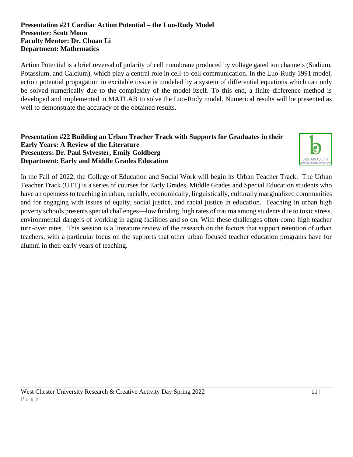#### **Presentation #21 Cardiac Action Potential – the Luo-Rudy Model Presenter: Scott Moon Faculty Mentor: Dr. Chuan Li Department: Mathematics**

Action Potential is a brief reversal of polarity of cell membrane produced by voltage gated ion channels (Sodium, Potassium, and Calcium), which play a central role in cell-to-cell communication. In the Luo-Rudy 1991 model, action potential propagation in excitable tissue is modeled by a system of differential equations which can only be solved numerically due to the complexity of the model itself. To this end, a finite difference method is developed and implemented in MATLAB to solve the Luo-Rudy model. Numerical results will be presented as well to demonstrate the accuracy of the obtained results.

#### **Presentation #22 Building an Urban Teacher Track with Supports for Graduates in their Early Years: A Review of the Literature Presenters: Dr. Paul Sylvester, Emily Goldberg Department: Early and Middle Grades Education**



In the Fall of 2022, the College of Education and Social Work will begin its Urban Teacher Track. The Urban Teacher Track (UTT) is a series of courses for Early Grades, Middle Grades and Special Education students who have an openness to teaching in urban, racially, economically, linguistically, culturally marginalized communities and for engaging with issues of equity, social justice, and racial justice in education. Teaching in urban high poverty schools presents special challenges—low funding, high rates of trauma among students due to toxic stress, environmental dangers of working in aging facilities and so on. With these challenges often come high teacher turn-over rates. This session is a literature review of the research on the factors that support retention of urban teachers, with a particular focus on the supports that other urban focused teacher education programs have for alumni in their early years of teaching.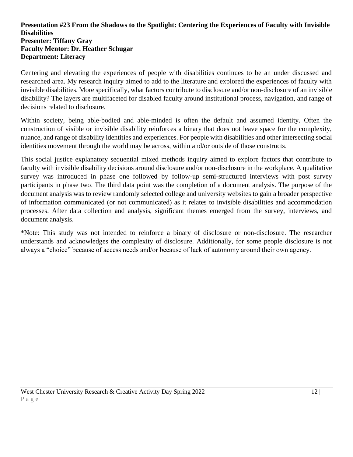#### **Presentation #23 From the Shadows to the Spotlight: Centering the Experiences of Faculty with Invisible Disabilities Presenter: Tiffany Gray Faculty Mentor: Dr. Heather Schugar Department: Literacy**

Centering and elevating the experiences of people with disabilities continues to be an under discussed and researched area. My research inquiry aimed to add to the literature and explored the experiences of faculty with invisible disabilities. More specifically, what factors contribute to disclosure and/or non-disclosure of an invisible disability? The layers are multifaceted for disabled faculty around institutional process, navigation, and range of decisions related to disclosure.

Within society, being able-bodied and able-minded is often the default and assumed identity. Often the construction of visible or invisible disability reinforces a binary that does not leave space for the complexity, nuance, and range of disability identities and experiences. For people with disabilities and other intersecting social identities movement through the world may be across, within and/or outside of those constructs.

This social justice explanatory sequential mixed methods inquiry aimed to explore factors that contribute to faculty with invisible disability decisions around disclosure and/or non-disclosure in the workplace. A qualitative survey was introduced in phase one followed by follow-up semi-structured interviews with post survey participants in phase two. The third data point was the completion of a document analysis. The purpose of the document analysis was to review randomly selected college and university websites to gain a broader perspective of information communicated (or not communicated) as it relates to invisible disabilities and accommodation processes. After data collection and analysis, significant themes emerged from the survey, interviews, and document analysis.

\*Note: This study was not intended to reinforce a binary of disclosure or non-disclosure. The researcher understands and acknowledges the complexity of disclosure. Additionally, for some people disclosure is not always a "choice" because of access needs and/or because of lack of autonomy around their own agency.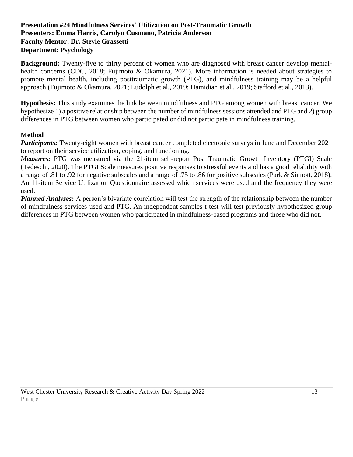#### **Presentation #24 Mindfulness Services' Utilization on Post-Traumatic Growth Presenters: Emma Harris, Carolyn Cusmano, Patricia Anderson Faculty Mentor: Dr. Stevie Grassetti Department: Psychology**

**Background:** Twenty-five to thirty percent of women who are diagnosed with breast cancer develop mentalhealth concerns (CDC, 2018; Fujimoto & Okamura, 2021). More information is needed about strategies to promote mental health, including posttraumatic growth (PTG), and mindfulness training may be a helpful approach (Fujimoto & Okamura, 2021; Ludolph et al., 2019; Hamidian et al., 2019; Stafford et al., 2013).

**Hypothesis:** This study examines the link between mindfulness and PTG among women with breast cancer. We hypothesize 1) a positive relationship between the number of mindfulness sessions attended and PTG and 2) group differences in PTG between women who participated or did not participate in mindfulness training.

#### **Method**

*Participants:* Twenty-eight women with breast cancer completed electronic surveys in June and December 2021 to report on their service utilization, coping, and functioning.

*Measures:* PTG was measured via the 21-item self-report Post Traumatic Growth Inventory (PTGI) Scale (Tedeschi, 2020). The PTGI Scale measures positive responses to stressful events and has a good reliability with a range of .81 to .92 for negative subscales and a range of .75 to .86 for positive subscales (Park & Sinnott, 2018). An 11-item Service Utilization Questionnaire assessed which services were used and the frequency they were used.

*Planned Analyses:* A person's bivariate correlation will test the strength of the relationship between the number of mindfulness services used and PTG. An independent samples t-test will test previously hypothesized group differences in PTG between women who participated in mindfulness-based programs and those who did not.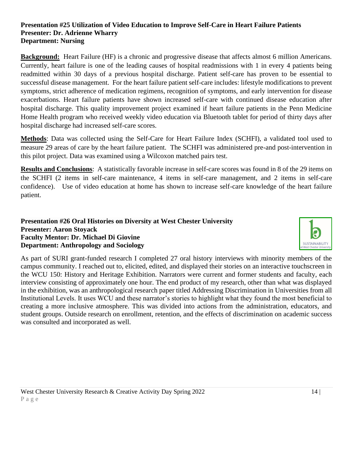#### **Presentation #25 Utilization of Video Education to Improve Self-Care in Heart Failure Patients Presenter: Dr. Adrienne Wharry Department: Nursing**

**Background:** Heart Failure (HF) is a chronic and progressive disease that affects almost 6 million Americans. Currently, heart failure is one of the leading causes of hospital readmissions with 1 in every 4 patients being readmitted within 30 days of a previous hospital discharge. Patient self-care has proven to be essential to successful disease management. For the heart failure patient self-care includes: lifestyle modifications to prevent symptoms, strict adherence of medication regimens, recognition of symptoms, and early intervention for disease exacerbations. Heart failure patients have shown increased self-care with continued disease education after hospital discharge. This quality improvement project examined if heart failure patients in the Penn Medicine Home Health program who received weekly video education via Bluetooth tablet for period of thirty days after hospital discharge had increased self-care scores.

**Methods**: Data was collected using the Self-Care for Heart Failure Index (SCHFI), a validated tool used to measure 29 areas of care by the heart failure patient. The SCHFI was administered pre-and post-intervention in this pilot project. Data was examined using a Wilcoxon matched pairs test.

**Results and Conclusions**: A statistically favorable increase in self-care scores was found in 8 of the 29 items on the SCHFI (2 items in self-care maintenance, 4 items in self-care management, and 2 items in self-care confidence). Use of video education at home has shown to increase self-care knowledge of the heart failure patient.

#### **Presentation #26 Oral Histories on Diversity at West Chester University Presenter: Aaron Stoyack Faculty Mentor: Dr. Michael Di Giovine Department: Anthropology and Sociology**



As part of SURI grant-funded research I completed 27 oral history interviews with minority members of the campus community. I reached out to, elicited, edited, and displayed their stories on an interactive touchscreen in the WCU 150: History and Heritage Exhibition. Narrators were current and former students and faculty, each interview consisting of approximately one hour. The end product of my research, other than what was displayed in the exhibition, was an anthropological research paper titled Addressing Discrimination in Universities from all Institutional Levels. It uses WCU and these narrator's stories to highlight what they found the most beneficial to creating a more inclusive atmosphere. This was divided into actions from the administration, educators, and student groups. Outside research on enrollment, retention, and the effects of discrimination on academic success was consulted and incorporated as well.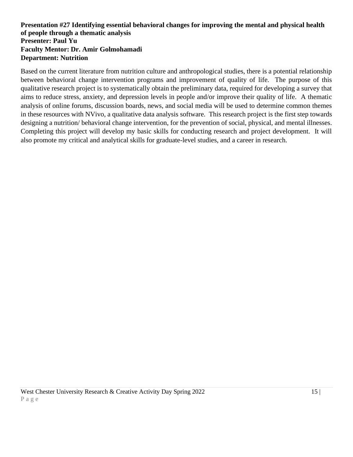#### **Presentation #27 Identifying essential behavioral changes for improving the mental and physical health of people through a thematic analysis Presenter: Paul Yu Faculty Mentor: Dr. Amir Golmohamadi Department: Nutrition**

Based on the current literature from nutrition culture and anthropological studies, there is a potential relationship between behavioral change intervention programs and improvement of quality of life. The purpose of this qualitative research project is to systematically obtain the preliminary data, required for developing a survey that aims to reduce stress, anxiety, and depression levels in people and/or improve their quality of life. A thematic analysis of online forums, discussion boards, news, and social media will be used to determine common themes in these resources with NVivo, a qualitative data analysis software. This research project is the first step towards designing a nutrition/ behavioral change intervention, for the prevention of social, physical, and mental illnesses. Completing this project will develop my basic skills for conducting research and project development. It will also promote my critical and analytical skills for graduate-level studies, and a career in research.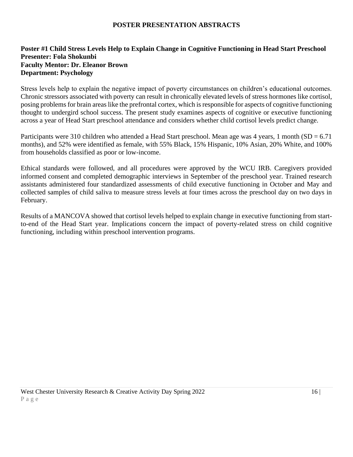#### **POSTER PRESENTATION ABSTRACTS**

#### **Poster #1 Child Stress Levels Help to Explain Change in Cognitive Functioning in Head Start Preschool Presenter: Fola Shokunbi Faculty Mentor: Dr. Eleanor Brown Department: Psychology**

Stress levels help to explain the negative impact of poverty circumstances on children's educational outcomes. Chronic stressors associated with poverty can result in chronically elevated levels of stress hormones like cortisol, posing problems for brain areas like the prefrontal cortex, which is responsible for aspects of cognitive functioning thought to undergird school success. The present study examines aspects of cognitive or executive functioning across a year of Head Start preschool attendance and considers whether child cortisol levels predict change.

Participants were 310 children who attended a Head Start preschool. Mean age was 4 years, 1 month  $SD = 6.71$ months), and 52% were identified as female, with 55% Black, 15% Hispanic, 10% Asian, 20% White, and 100% from households classified as poor or low-income.

Ethical standards were followed, and all procedures were approved by the WCU IRB. Caregivers provided informed consent and completed demographic interviews in September of the preschool year. Trained research assistants administered four standardized assessments of child executive functioning in October and May and collected samples of child saliva to measure stress levels at four times across the preschool day on two days in February.

Results of a MANCOVA showed that cortisol levels helped to explain change in executive functioning from startto-end of the Head Start year. Implications concern the impact of poverty-related stress on child cognitive functioning, including within preschool intervention programs.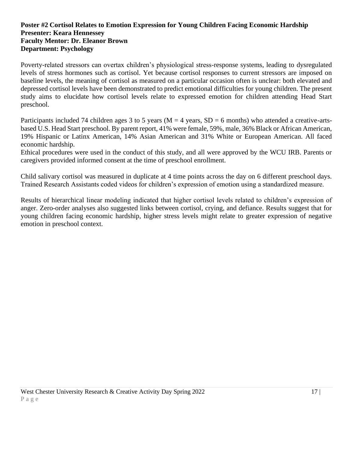#### **Poster #2 Cortisol Relates to Emotion Expression for Young Children Facing Economic Hardship Presenter: Keara Hennessey Faculty Mentor: Dr. Eleanor Brown Department: Psychology**

Poverty-related stressors can overtax children's physiological stress-response systems, leading to dysregulated levels of stress hormones such as cortisol. Yet because cortisol responses to current stressors are imposed on baseline levels, the meaning of cortisol as measured on a particular occasion often is unclear: both elevated and depressed cortisol levels have been demonstrated to predict emotional difficulties for young children. The present study aims to elucidate how cortisol levels relate to expressed emotion for children attending Head Start preschool.

Participants included 74 children ages 3 to 5 years ( $M = 4$  years,  $SD = 6$  months) who attended a creative-artsbased U.S. Head Start preschool. By parent report, 41% were female, 59%, male, 36% Black or African American, 19% Hispanic or Latinx American, 14% Asian American and 31% White or European American. All faced economic hardship.

Ethical procedures were used in the conduct of this study, and all were approved by the WCU IRB. Parents or caregivers provided informed consent at the time of preschool enrollment.

Child salivary cortisol was measured in duplicate at 4 time points across the day on 6 different preschool days. Trained Research Assistants coded videos for children's expression of emotion using a standardized measure.

Results of hierarchical linear modeling indicated that higher cortisol levels related to children's expression of anger. Zero-order analyses also suggested links between cortisol, crying, and defiance. Results suggest that for young children facing economic hardship, higher stress levels might relate to greater expression of negative emotion in preschool context.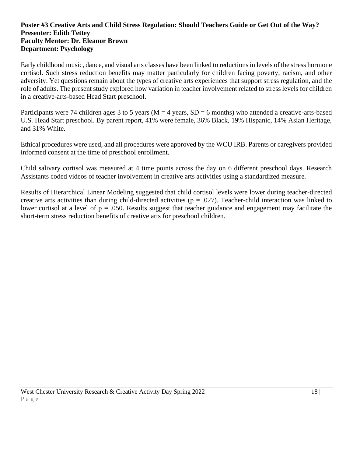#### **Poster #3 Creative Arts and Child Stress Regulation: Should Teachers Guide or Get Out of the Way? Presenter: Edith Tettey Faculty Mentor: Dr. Eleanor Brown Department: Psychology**

Early childhood music, dance, and visual arts classes have been linked to reductions in levels of the stress hormone cortisol. Such stress reduction benefits may matter particularly for children facing poverty, racism, and other adversity. Yet questions remain about the types of creative arts experiences that support stress regulation, and the role of adults. The present study explored how variation in teacher involvement related to stress levels for children in a creative-arts-based Head Start preschool.

Participants were 74 children ages 3 to 5 years ( $M = 4$  years,  $SD = 6$  months) who attended a creative-arts-based U.S. Head Start preschool. By parent report, 41% were female, 36% Black, 19% Hispanic, 14% Asian Heritage, and 31% White.

Ethical procedures were used, and all procedures were approved by the WCU IRB. Parents or caregivers provided informed consent at the time of preschool enrollment.

Child salivary cortisol was measured at 4 time points across the day on 6 different preschool days. Research Assistants coded videos of teacher involvement in creative arts activities using a standardized measure.

Results of Hierarchical Linear Modeling suggested that child cortisol levels were lower during teacher-directed creative arts activities than during child-directed activities ( $p = .027$ ). Teacher-child interaction was linked to lower cortisol at a level of  $p = .050$ . Results suggest that teacher guidance and engagement may facilitate the short-term stress reduction benefits of creative arts for preschool children.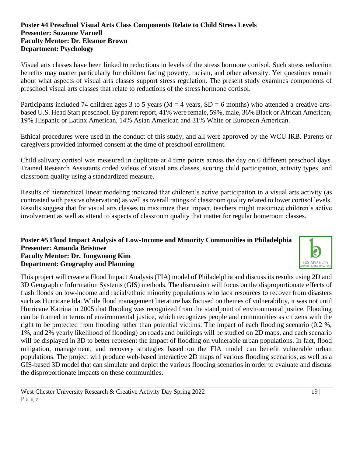#### **Poster #4 Preschool Visual Arts Class Components Relate to Child Stress Levels Presenter: Suzanne Varnell Faculty Mentor: Dr. Eleanor Brown Department: Psychology**

Visual arts classes have been linked to reductions in levels of the stress hormone cortisol. Such stress reduction benefits may matter particularly for children facing poverty, racism, and other adversity. Yet questions remain about what aspects of visual arts classes support stress regulation. The present study examines components of preschool visual arts classes that relate to reductions of the stress hormone cortisol.

Participants included 74 children ages 3 to 5 years ( $M = 4$  years,  $SD = 6$  months) who attended a creative-artsbased U.S. Head Start preschool. By parent report, 41% were female, 59%, male, 36% Black or African American, 19% Hispanic or Latinx American, 14% Asian American and 31% White or European American.

Ethical procedures were used in the conduct of this study, and all were approved by the WCU IRB. Parents or caregivers provided informed consent at the time of preschool enrollment.

Child salivary cortisol was measured in duplicate at 4 time points across the day on 6 different preschool days. Trained Research Assistants coded videos of visual arts classes, scoring child participation, activity types, and classroom quality using a standardized measure.

Results of hierarchical linear modeling indicated that children's active participation in a visual arts activity (as contrasted with passive observation) as well as overall ratings of classroom quality related to lower cortisol levels. Results suggest that for visual arts classes to maximize their impact, teachers might maximize children's active involvement as well as attend to aspects of classroom quality that matter for regular homeroom classes.

#### **Poster #5 Flood Impact Analysis of Low-Income and Minority Communities in Philadelphia Presenter: Amanda Bristowe Faculty Mentor: Dr. Jongwoong Kim Department: Geography and Planning**

This project will create a Flood Impact Analysis (FIA) model of Philadelphia and discuss its results using 2D and 3D Geographic Information Systems (GIS) methods. The discussion will focus on the disproportionate effects of flash floods on low-income and racial/ethnic minority populations who lack resources to recover from disasters such as Hurricane Ida. While flood management literature has focused on themes of vulnerability, it was not until Hurricane Katrina in 2005 that flooding was recognized from the standpoint of environmental justice. Flooding can be framed in terms of environmental justice, which recognizes people and communities as citizens with the right to be protected from flooding rather than potential victims. The impact of each flooding scenario (0.2 %, 1%, and 2% yearly likelihood of flooding) on roads and buildings will be studied on 2D maps, and each scenario will be displayed in 3D to better represent the impact of flooding on vulnerable urban populations. In fact, flood mitigation, management, and recovery strategies based on the FIA model can benefit vulnerable urban populations. The project will produce web-based interactive 2D maps of various flooding scenarios, as well as a GIS-based 3D model that can simulate and depict the various flooding scenarios in order to evaluate and discuss the disproportionate impacts on these communities.

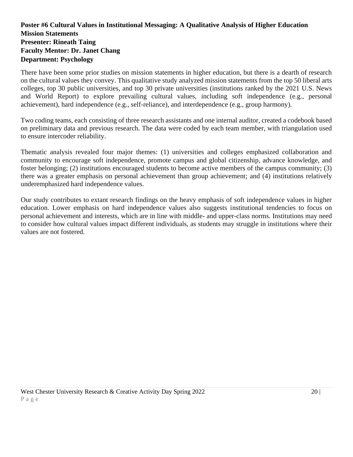#### **Poster #6 Cultural Values in Institutional Messaging: A Qualitative Analysis of Higher Education Mission Statements Presenter: Rineath Taing Faculty Mentor: Dr. Janet Chang Department: Psychology**

There have been some prior studies on mission statements in higher education, but there is a dearth of research on the cultural values they convey. This qualitative study analyzed mission statements from the top 50 liberal arts colleges, top 30 public universities, and top 30 private universities (institutions ranked by the 2021 U.S. News and World Report) to explore prevailing cultural values, including soft independence (e.g., personal achievement), hard independence (e.g., self-reliance), and interdependence (e.g., group harmony).

Two coding teams, each consisting of three research assistants and one internal auditor, created a codebook based on preliminary data and previous research. The data were coded by each team member, with triangulation used to ensure intercoder reliability.

Thematic analysis revealed four major themes: (1) universities and colleges emphasized collaboration and community to encourage soft independence, promote campus and global citizenship, advance knowledge, and foster belonging; (2) institutions encouraged students to become active members of the campus community; (3) there was a greater emphasis on personal achievement than group achievement; and (4) institutions relatively underemphasized hard independence values.

Our study contributes to extant research findings on the heavy emphasis of soft independence values in higher education. Lower emphasis on hard independence values also suggests institutional tendencies to focus on personal achievement and interests, which are in line with middle- and upper-class norms. Institutions may need to consider how cultural values impact different individuals, as students may struggle in institutions where their values are not fostered.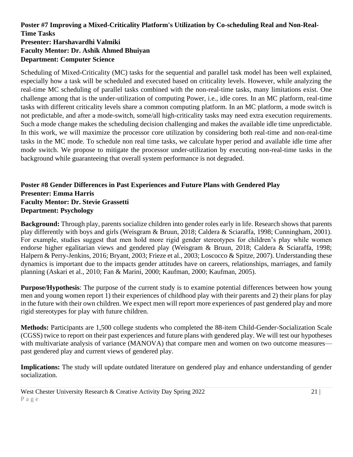#### **Poster #7 Improving a Mixed-Criticality Platform's Utilization by Co-scheduling Real and Non-Real-Time Tasks Presenter: Harshavardhi Valmiki Faculty Mentor: Dr. Ashik Ahmed Bhuiyan Department: Computer Science**

Scheduling of Mixed-Criticality (MC) tasks for the sequential and parallel task model has been well explained, especially how a task will be scheduled and executed based on criticality levels. However, while analyzing the real-time MC scheduling of parallel tasks combined with the non-real-time tasks, many limitations exist. One challenge among that is the under-utilization of computing Power, i.e., idle cores. In an MC platform, real-time tasks with different criticality levels share a common computing platform. In an MC platform, a mode switch is not predictable, and after a mode-switch, some/all high-criticality tasks may need extra execution requirements. Such a mode change makes the scheduling decision challenging and makes the available idle time unpredictable. In this work, we will maximize the processor core utilization by considering both real-time and non-real-time tasks in the MC mode. To schedule non real time tasks, we calculate hyper period and available idle time after mode switch. We propose to mitigate the processor under-utilization by executing non-real-time tasks in the background while guaranteeing that overall system performance is not degraded.

#### **Poster #8 Gender Differences in Past Experiences and Future Plans with Gendered Play Presenter: Emma Harris Faculty Mentor: Dr. Stevie Grassetti Department: Psychology**

**Background:** Through play, parents socialize children into gender roles early in life. Research shows that parents play differently with boys and girls (Weisgram & Bruun, 2018; Caldera & Sciaraffa, 1998; Cunningham, 2001). For example, studies suggest that men hold more rigid gender stereotypes for children's play while women endorse higher egalitarian views and gendered play (Weisgram & Bruun, 2018; Caldera & Sciaraffa, 1998; Halpern & Perry-Jenkins, 2016; Bryant, 2003; Frieze et al., 2003; Loscocco & Spitze, 2007). Understanding these dynamics is important due to the impacts gender attitudes have on careers, relationships, marriages, and family planning (Askari et al., 2010; Fan & Marini, 2000; Kaufman, 2000; Kaufman, 2005).

**Purpose/Hypothesis**: The purpose of the current study is to examine potential differences between how young men and young women report 1) their experiences of childhood play with their parents and 2) their plans for play in the future with their own children. We expect men will report more experiences of past gendered play and more rigid stereotypes for play with future children.

**Methods:** Participants are 1,500 college students who completed the 88-item Child-Gender-Socialization Scale (CGSS) twice to report on their past experiences and future plans with gendered play. We will test our hypotheses with multivariate analysis of variance (MANOVA) that compare men and women on two outcome measures past gendered play and current views of gendered play.

**Implications:** The study will update outdated literature on gendered play and enhance understanding of gender socialization.

West Chester University Research & Creative Activity Day Spring 2022 21 | 21 | P a g e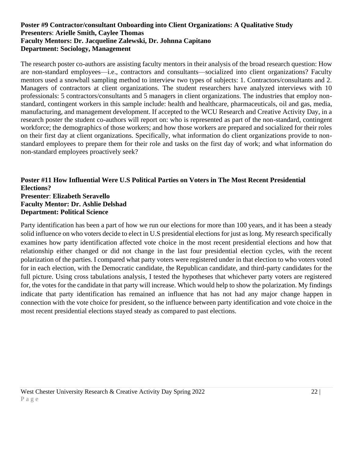#### **Poster #9 Contractor/consultant Onboarding into Client Organizations: A Qualitative Study Presenters**: **Arielle Smith, Caylee Thomas Faculty Mentors: Dr. Jacqueline Zalewski, Dr. Johnna Capitano Department: Sociology, Management**

The research poster co-authors are assisting faculty mentors in their analysis of the broad research question: How are non-standard employees—i.e., contractors and consultants—socialized into client organizations? Faculty mentors used a snowball sampling method to interview two types of subjects: 1. Contractors/consultants and 2. Managers of contractors at client organizations. The student researchers have analyzed interviews with 10 professionals: 5 contractors/consultants and 5 managers in client organizations. The industries that employ nonstandard, contingent workers in this sample include: health and healthcare, pharmaceuticals, oil and gas, media, manufacturing, and management development. If accepted to the WCU Research and Creative Activity Day, in a research poster the student co-authors will report on: who is represented as part of the non-standard, contingent workforce; the demographics of those workers; and how those workers are prepared and socialized for their roles on their first day at client organizations. Specifically, what information do client organizations provide to nonstandard employees to prepare them for their role and tasks on the first day of work; and what information do non-standard employees proactively seek?

#### **Poster #11 How Influential Were U.S Political Parties on Voters in The Most Recent Presidential Elections? Presenter**: **Elizabeth Seravello Faculty Mentor: Dr. Ashlie Delshad Department: Political Science**

Party identification has been a part of how we run our elections for more than 100 years, and it has been a steady solid influence on who voters decide to elect in U.S presidential elections for just as long. My research specifically examines how party identification affected vote choice in the most recent presidential elections and how that relationship either changed or did not change in the last four presidential election cycles, with the recent polarization of the parties. I compared what party voters were registered under in that election to who voters voted for in each election, with the Democratic candidate, the Republican candidate, and third-party candidates for the full picture. Using cross tabulations analysis, I tested the hypotheses that whichever party voters are registered for, the votes for the candidate in that party will increase. Which would help to show the polarization. My findings indicate that party identification has remained an influence that has not had any major change happen in connection with the vote choice for president, so the influence between party identification and vote choice in the most recent presidential elections stayed steady as compared to past elections.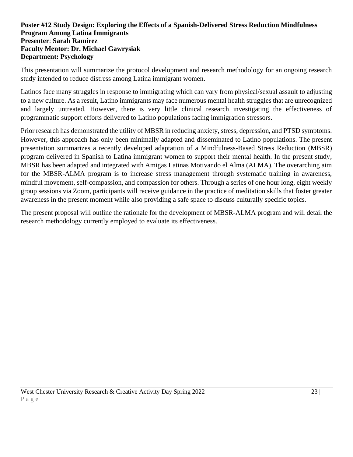#### **Poster #12 Study Design: Exploring the Effects of a Spanish-Delivered Stress Reduction Mindfulness Program Among Latina Immigrants Presenter**: **Sarah Ramirez Faculty Mentor: Dr. Michael Gawrysiak Department: Psychology**

This presentation will summarize the protocol development and research methodology for an ongoing research study intended to reduce distress among Latina immigrant women.

Latinos face many struggles in response to immigrating which can vary from physical/sexual assault to adjusting to a new culture. As a result, Latino immigrants may face numerous mental health struggles that are unrecognized and largely untreated. However, there is very little clinical research investigating the effectiveness of programmatic support efforts delivered to Latino populations facing immigration stressors.

Prior research has demonstrated the utility of MBSR in reducing anxiety, stress, depression, and PTSD symptoms. However, this approach has only been minimally adapted and disseminated to Latino populations. The present presentation summarizes a recently developed adaptation of a Mindfulness-Based Stress Reduction (MBSR) program delivered in Spanish to Latina immigrant women to support their mental health. In the present study, MBSR has been adapted and integrated with Amigas Latinas Motivando el Alma (ALMA). The overarching aim for the MBSR-ALMA program is to increase stress management through systematic training in awareness, mindful movement, self-compassion, and compassion for others. Through a series of one hour long, eight weekly group sessions via Zoom, participants will receive guidance in the practice of meditation skills that foster greater awareness in the present moment while also providing a safe space to discuss culturally specific topics.

The present proposal will outline the rationale for the development of MBSR-ALMA program and will detail the research methodology currently employed to evaluate its effectiveness.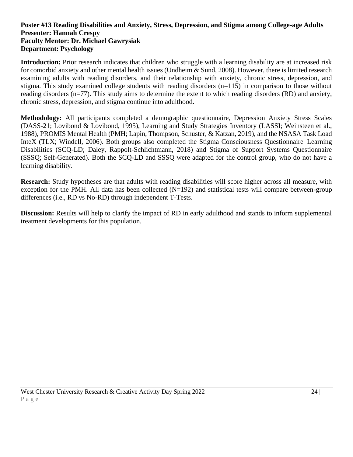#### **Poster #13 Reading Disabilities and Anxiety, Stress, Depression, and Stigma among College-age Adults Presenter: Hannah Crespy Faculty Mentor: Dr. Michael Gawrysiak Department: Psychology**

**Introduction:** Prior research indicates that children who struggle with a learning disability are at increased risk for comorbid anxiety and other mental health issues (Undheim & Sund, 2008). However, there is limited research examining adults with reading disorders, and their relationship with anxiety, chronic stress, depression, and stigma. This study examined college students with reading disorders (n=115) in comparison to those without reading disorders (n=77). This study aims to determine the extent to which reading disorders (RD) and anxiety, chronic stress, depression, and stigma continue into adulthood.

**Methodology:** All participants completed a demographic questionnaire, Depression Anxiety Stress Scales (DASS-21; Lovibond & Lovibond, 1995), Learning and Study Strategies Inventory (LASSI; Weinsteen et al., 1988), PROMIS Mental Health (PMH; Lapin, Thompson, Schuster, & Katzan, 2019), and the NSASA Task Load InteX (TLX; Windell, 2006). Both groups also completed the Stigma Consciousness Questionnaire–Learning Disabilities (SCQ-LD; Daley, Rappolt-Schlichtmann, 2018) and Stigma of Support Systems Questionnaire (SSSQ; Self-Generated). Both the SCQ-LD and SSSQ were adapted for the control group, who do not have a learning disability.

**Research:** Study hypotheses are that adults with reading disabilities will score higher across all measure, with exception for the PMH. All data has been collected  $(N=192)$  and statistical tests will compare between-group differences (i.e., RD vs No-RD) through independent T-Tests.

**Discussion:** Results will help to clarify the impact of RD in early adulthood and stands to inform supplemental treatment developments for this population.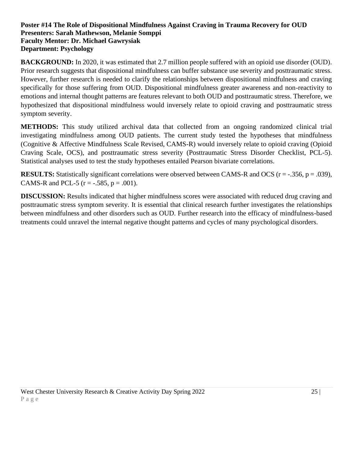#### **Poster #14 The Role of Dispositional Mindfulness Against Craving in Trauma Recovery for OUD Presenters: Sarah Mathewson, Melanie Somppi Faculty Mentor: Dr. Michael Gawrysiak Department: Psychology**

**BACKGROUND:** In 2020, it was estimated that 2.7 million people suffered with an opioid use disorder (OUD). Prior research suggests that dispositional mindfulness can buffer substance use severity and posttraumatic stress. However, further research is needed to clarify the relationships between dispositional mindfulness and craving specifically for those suffering from OUD. Dispositional mindfulness greater awareness and non-reactivity to emotions and internal thought patterns are features relevant to both OUD and posttraumatic stress. Therefore, we hypothesized that dispositional mindfulness would inversely relate to opioid craving and posttraumatic stress symptom severity.

**METHODS:** This study utilized archival data that collected from an ongoing randomized clinical trial investigating mindfulness among OUD patients. The current study tested the hypotheses that mindfulness (Cognitive & Affective Mindfulness Scale Revised, CAMS-R) would inversely relate to opioid craving (Opioid Craving Scale, OCS), and posttraumatic stress severity (Posttraumatic Stress Disorder Checklist, PCL-5). Statistical analyses used to test the study hypotheses entailed Pearson bivariate correlations.

**RESULTS:** Statistically significant correlations were observed between CAMS-R and OCS (r = -.356, p = .039), CAMS-R and PCL-5 ( $r = -.585$ ,  $p = .001$ ).

**DISCUSSION:** Results indicated that higher mindfulness scores were associated with reduced drug craving and posttraumatic stress symptom severity. It is essential that clinical research further investigates the relationships between mindfulness and other disorders such as OUD. Further research into the efficacy of mindfulness-based treatments could unravel the internal negative thought patterns and cycles of many psychological disorders.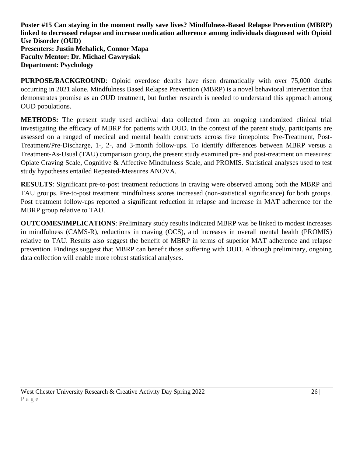**Poster #15 Can staying in the moment really save lives? Mindfulness-Based Relapse Prevention (MBRP) linked to decreased relapse and increase medication adherence among individuals diagnosed with Opioid Use Disorder (OUD) Presenters: Justin Mehalick, Connor Mapa Faculty Mentor: Dr. Michael Gawrysiak Department: Psychology**

**PURPOSE/BACKGROUND**: Opioid overdose deaths have risen dramatically with over 75,000 deaths occurring in 2021 alone. Mindfulness Based Relapse Prevention (MBRP) is a novel behavioral intervention that demonstrates promise as an OUD treatment, but further research is needed to understand this approach among OUD populations.

**METHODS:** The present study used archival data collected from an ongoing randomized clinical trial investigating the efficacy of MBRP for patients with OUD. In the context of the parent study, participants are assessed on a ranged of medical and mental health constructs across five timepoints: Pre-Treatment, Post-Treatment/Pre-Discharge, 1-, 2-, and 3-month follow-ups. To identify differences between MBRP versus a Treatment-As-Usual (TAU) comparison group, the present study examined pre- and post-treatment on measures: Opiate Craving Scale, Cognitive & Affective Mindfulness Scale, and PROMIS. Statistical analyses used to test study hypotheses entailed Repeated-Measures ANOVA.

**RESULTS**: Significant pre-to-post treatment reductions in craving were observed among both the MBRP and TAU groups. Pre-to-post treatment mindfulness scores increased (non-statistical significance) for both groups. Post treatment follow-ups reported a significant reduction in relapse and increase in MAT adherence for the MBRP group relative to TAU.

**OUTCOMES/IMPLICATIONS**: Preliminary study results indicated MBRP was be linked to modest increases in mindfulness (CAMS-R), reductions in craving (OCS), and increases in overall mental health (PROMIS) relative to TAU. Results also suggest the benefit of MBRP in terms of superior MAT adherence and relapse prevention. Findings suggest that MBRP can benefit those suffering with OUD. Although preliminary, ongoing data collection will enable more robust statistical analyses.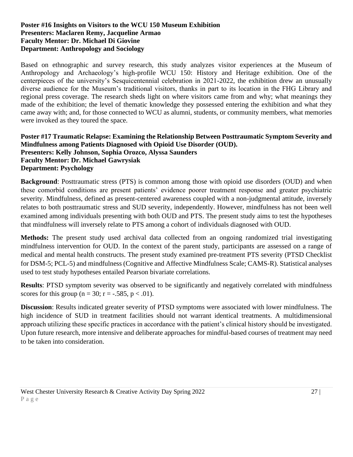#### **Poster #16 Insights on Visitors to the WCU 150 Museum Exhibition Presenters: Maclaren Remy, Jacqueline Armao Faculty Mentor: Dr. Michael Di Giovine Department: Anthropology and Sociology**

Based on ethnographic and survey research, this study analyzes visitor experiences at the Museum of Anthropology and Archaeology's high-profile WCU 150: History and Heritage exhibition. One of the centerpieces of the university's Sesquicentennial celebration in 2021-2022, the exhibition drew an unusually diverse audience for the Museum's traditional visitors, thanks in part to its location in the FHG Library and regional press coverage. The research sheds light on where visitors came from and why; what meanings they made of the exhibition; the level of thematic knowledge they possessed entering the exhibition and what they came away with; and, for those connected to WCU as alumni, students, or community members, what memories were invoked as they toured the space.

#### **Poster #17 Traumatic Relapse: Examining the Relationship Between Posttraumatic Symptom Severity and Mindfulness among Patients Diagnosed with Opioid Use Disorder (OUD). Presenters: Kelly Johnson, Sophia Orozco, Alyssa Saunders Faculty Mentor: Dr. Michael Gawrysiak Department: Psychology**

**Background**: Posttraumatic stress (PTS) is common among those with opioid use disorders (OUD) and when these comorbid conditions are present patients' evidence poorer treatment response and greater psychiatric severity. Mindfulness, defined as present-centered awareness coupled with a non-judgmental attitude, inversely relates to both posttraumatic stress and SUD severity, independently. However, mindfulness has not been well examined among individuals presenting with both OUD and PTS. The present study aims to test the hypotheses that mindfulness will inversely relate to PTS among a cohort of individuals diagnosed with OUD.

**Methods:** The present study used archival data collected from an ongoing randomized trial investigating mindfulness intervention for OUD. In the context of the parent study, participants are assessed on a range of medical and mental health constructs. The present study examined pre-treatment PTS severity (PTSD Checklist for DSM-5; PCL-5) and mindfulness (Cognitive and Affective Mindfulness Scale; CAMS-R). Statistical analyses used to test study hypotheses entailed Pearson bivariate correlations.

**Results**: PTSD symptom severity was observed to be significantly and negatively correlated with mindfulness scores for this group ( $n = 30$ ;  $r = -.585$ ,  $p < .01$ ).

**Discussion**: Results indicated greater severity of PTSD symptoms were associated with lower mindfulness. The high incidence of SUD in treatment facilities should not warrant identical treatments. A multidimensional approach utilizing these specific practices in accordance with the patient's clinical history should be investigated. Upon future research, more intensive and deliberate approaches for mindful-based courses of treatment may need to be taken into consideration.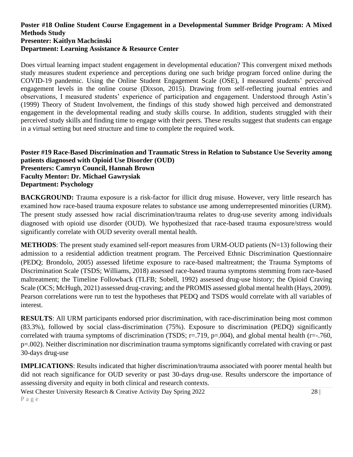#### **Poster #18 Online Student Course Engagement in a Developmental Summer Bridge Program: A Mixed Methods Study Presenter: Kaitlyn Machcinski Department: Learning Assistance & Resource Center**

Does virtual learning impact student engagement in developmental education? This convergent mixed methods study measures student experience and perceptions during one such bridge program forced online during the COVID-19 pandemic. Using the Online Student Engagement Scale (OSE), I measured students' perceived engagement levels in the online course (Dixson, 2015). Drawing from self-reflecting journal entries and observations, I measured students' experience of participation and engagement. Understood through Astin's (1999) Theory of Student Involvement, the findings of this study showed high perceived and demonstrated engagement in the developmental reading and study skills course. In addition, students struggled with their perceived study skills and finding time to engage with their peers. These results suggest that students can engage in a virtual setting but need structure and time to complete the required work.

#### **Poster #19 Race-Based Discrimination and Traumatic Stress in Relation to Substance Use Severity among patients diagnosed with Opioid Use Disorder (OUD) Presenters: Camryn Council, Hannah Brown Faculty Mentor: Dr. Michael Gawrysiak Department: Psychology**

**BACKGROUND:** Trauma exposure is a risk-factor for illicit drug misuse. However, very little research has examined how race-based trauma exposure relates to substance use among underrepresented minorities (URM). The present study assessed how racial discrimination/trauma relates to drug-use severity among individuals diagnosed with opioid use disorder (OUD). We hypothesized that race-based trauma exposure/stress would significantly correlate with OUD severity overall mental health.

**METHODS**: The present study examined self-report measures from URM-OUD patients (N=13) following their admission to a residential addiction treatment program. The Perceived Ethnic Discrimination Questionnaire (PEDQ; Brondolo, 2005) assessed lifetime exposure to race-based maltreatment; the Trauma Symptoms of Discrimination Scale (TSDS; Williams, 2018) assessed race-based trauma symptoms stemming from race-based maltreatment; the Timeline Followback (TLFB; Sobell, 1992) assessed drug-use history; the Opioid Craving Scale (OCS; McHugh, 2021) assessed drug-craving; and the PROMIS assessed global mental health (Hays, 2009). Pearson correlations were run to test the hypotheses that PEDQ and TSDS would correlate with all variables of interest.

**RESULTS**: All URM participants endorsed prior discrimination, with race-discrimination being most common (83.3%), followed by social class-discrimination (75%). Exposure to discrimination (PEDQ) significantly correlated with trauma symptoms of discrimination (TSDS;  $r=0.719$ ,  $p=0.004$ ), and global mental health ( $r=-0.760$ , p=.002). Neither discrimination nor discrimination trauma symptoms significantly correlated with craving or past 30-days drug-use

**IMPLICATIONS**: Results indicated that higher discrimination/trauma associated with poorer mental health but did not reach significance for OUD severity or past 30-days drug-use. Results underscore the importance of assessing diversity and equity in both clinical and research contexts.

West Chester University Research & Creative Activity Day Spring 2022 28 | 28 | P a g e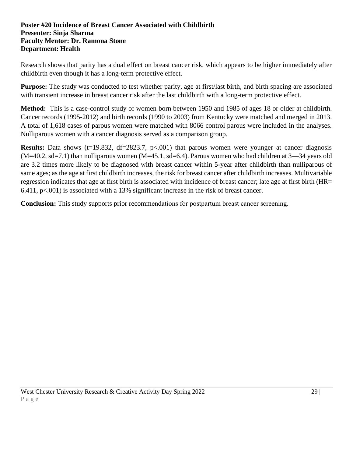#### **Poster #20 Incidence of Breast Cancer Associated with Childbirth Presenter: Sinja Sharma Faculty Mentor: Dr. Ramona Stone Department: Health**

Research shows that parity has a dual effect on breast cancer risk, which appears to be higher immediately after childbirth even though it has a long-term protective effect.

**Purpose:** The study was conducted to test whether parity, age at first/last birth, and birth spacing are associated with transient increase in breast cancer risk after the last childbirth with a long-term protective effect.

**Method:** This is a case-control study of women born between 1950 and 1985 of ages 18 or older at childbirth. Cancer records (1995-2012) and birth records (1990 to 2003) from Kentucky were matched and merged in 2013. A total of 1,618 cases of parous women were matched with 8066 control parous were included in the analyses. Nulliparous women with a cancer diagnosis served as a comparison group.

**Results:** Data shows (t=19.832, df=2823.7, p<.001) that parous women were younger at cancer diagnosis  $(M=40.2, sd=7.1)$  than nulliparous women  $(M=45.1, sd=6.4)$ . Parous women who had children at  $3-34$  years old are 3.2 times more likely to be diagnosed with breast cancer within 5-year after childbirth than nulliparous of same ages; as the age at first childbirth increases, the risk for breast cancer after childbirth increases. Multivariable regression indicates that age at first birth is associated with incidence of breast cancer; late age at first birth (HR= 6.411, p<.001) is associated with a 13% significant increase in the risk of breast cancer.

**Conclusion:** This study supports prior recommendations for postpartum breast cancer screening.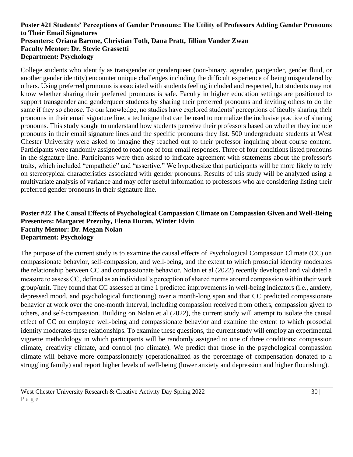#### **Poster #21 Students' Perceptions of Gender Pronouns: The Utility of Professors Adding Gender Pronouns to Their Email Signatures Presenters: Oriana Barone, Christian Toth, Dana Pratt, Jillian Vander Zwan Faculty Mentor: Dr. Stevie Grassetti Department: Psychology**

College students who identify as transgender or genderqueer (non-binary, agender, pangender, gender fluid, or another gender identity) encounter unique challenges including the difficult experience of being misgendered by others. Using preferred pronouns is associated with students feeling included and respected, but students may not know whether sharing their preferred pronouns is safe. Faculty in higher education settings are positioned to support transgender and genderqueer students by sharing their preferred pronouns and inviting others to do the same if they so choose. To our knowledge, no studies have explored students' perceptions of faculty sharing their pronouns in their email signature line, a technique that can be used to normalize the inclusive practice of sharing pronouns. This study sought to understand how students perceive their professors based on whether they include pronouns in their email signature lines and the specific pronouns they list. 500 undergraduate students at West Chester University were asked to imagine they reached out to their professor inquiring about course content. Participants were randomly assigned to read one of four email responses. Three of four conditions listed pronouns in the signature line. Participants were then asked to indicate agreement with statements about the professor's traits, which included "empathetic" and "assertive." We hypothesize that participants will be more likely to rely on stereotypical characteristics associated with gender pronouns. Results of this study will be analyzed using a multivariate analysis of variance and may offer useful information to professors who are considering listing their preferred gender pronouns in their signature line.

#### **Poster #22 The Causal Effects of Psychological Compassion Climate on Compassion Given and Well-Being Presenters: Margaret Prezuhy, Elena Duran, Winter Elvin Faculty Mentor: Dr. Megan Nolan Department: Psychology**

The purpose of the current study is to examine the causal effects of Psychological Compassion Climate (CC) on compassionate behavior, self-compassion, and well-being, and the extent to which prosocial identity moderates the relationship between CC and compassionate behavior. Nolan et al (2022) recently developed and validated a measure to assess CC, defined as an individual's perception of shared norms around compassion within their work group/unit. They found that CC assessed at time 1 predicted improvements in well-being indicators (i.e., anxiety, depressed mood, and psychological functioning) over a month-long span and that CC predicted compassionate behavior at work over the one-month interval, including compassion received from others, compassion given to others, and self-compassion. Building on Nolan et al (2022), the current study will attempt to isolate the causal effect of CC on employee well-being and compassionate behavior and examine the extent to which prosocial identity moderates these relationships. To examine these questions, the current study will employ an experimental vignette methodology in which participants will be randomly assigned to one of three conditions: compassion climate, creativity climate, and control (no climate). We predict that those in the psychological compassion climate will behave more compassionately (operationalized as the percentage of compensation donated to a struggling family) and report higher levels of well-being (lower anxiety and depression and higher flourishing).

West Chester University Research & Creative Activity Day Spring 2022 30 | 30 | P a g e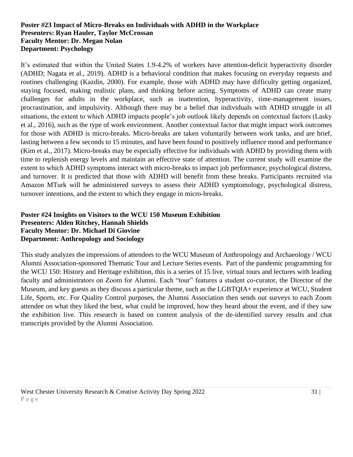#### **Poster #23 Impact of Micro-Breaks on Individuals with ADHD in the Workplace Presenters: Ryan Hauler, Taylor McCrossan Faculty Mentor: Dr. Megan Nolan Department: Psychology**

It's estimated that within the United States 1.9-4.2% of workers have attention-deficit hyperactivity disorder (ADHD; Nagata et al., 2019). ADHD is a behavioral condition that makes focusing on everyday requests and routines challenging (Kazdin, 2000). For example, those with ADHD may have difficulty getting organized, staying focused, making realistic plans, and thinking before acting. Symptoms of ADHD can create many challenges for adults in the workplace, such as inattention, hyperactivity, time-management issues, procrastination, and impulsivity. Although there may be a belief that individuals with ADHD struggle in all situations, the extent to which ADHD impacts people's job outlook likely depends on contextual factors (Lasky et al., 2016), such as the type of work environment. Another contextual factor that might impact work outcomes for those with ADHD is micro-breaks. Micro-breaks are taken voluntarily between work tasks, and are brief, lasting between a few seconds to 15 minutes, and have been found to positively influence mood and performance (Kim et al., 2017). Micro-breaks may be especially effective for individuals with ADHD by providing them with time to replenish energy levels and maintain an effective state of attention. The current study will examine the extent to which ADHD symptoms interact with micro-breaks to impact job performance, psychological distress, and turnover. It is predicted that those with ADHD will benefit from these breaks. Participants recruited via Amazon MTurk will be administered surveys to assess their ADHD symptomology, psychological distress, turnover intentions, and the extent to which they engage in micro-breaks.

#### **Poster #24 Insights on Visitors to the WCU 150 Museum Exhibition Presenters: Alden Ritchey, Hannah Shields Faculty Mentor: Dr. Michael Di Giovine Department: Anthropology and Sociology**

This study analyzes the impressions of attendees to the WCU Museum of Anthropology and Archaeology / WCU Alumni Association-sponsored Thematic Tour and Lecture Series events. Part of the pandemic programming for the WCU 150: History and Heritage exhibition, this is a series of 15 live, virtual tours and lectures with leading faculty and administrators on Zoom for Alumni. Each "tour" features a student co-curator, the Director of the Museum, and key guests as they discuss a particular theme, such as the LGBTQIA+ experience at WCU, Student Life, Sports, etc. For Quality Control purposes, the Alumni Association then sends out surveys to each Zoom attendee on what they liked the best, what could be improved, how they heard about the event, and if they saw the exhibition live. This research is based on content analysis of the de-identified survey results and chat transcripts provided by the Alumni Association.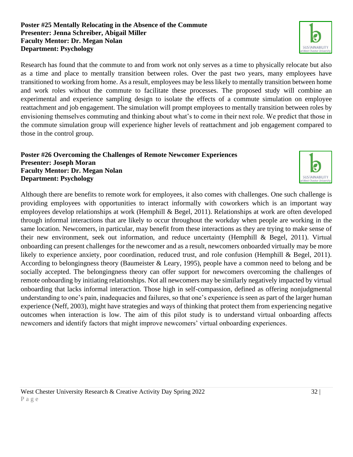#### **Poster #25 Mentally Relocating in the Absence of the Commute Presenter: Jenna Schreiber, Abigail Miller Faculty Mentor: Dr. Megan Nolan Department: Psychology**

Research has found that the commute to and from work not only serves as a time to physically relocate but also as a time and place to mentally transition between roles. Over the past two years, many employees have transitioned to working from home. As a result, employees may be less likely to mentally transition between home and work roles without the commute to facilitate these processes. The proposed study will combine an experimental and experience sampling design to isolate the effects of a commute simulation on employee reattachment and job engagement. The simulation will prompt employees to mentally transition between roles by envisioning themselves commuting and thinking about what's to come in their next role. We predict that those in the commute simulation group will experience higher levels of reattachment and job engagement compared to those in the control group.

#### **Poster #26 Overcoming the Challenges of Remote Newcomer Experiences Presenter: Joseph Moran Faculty Mentor: Dr. Megan Nolan Department: Psychology**

Although there are benefits to remote work for employees, it also comes with challenges. One such challenge is providing employees with opportunities to interact informally with coworkers which is an important way employees develop relationships at work (Hemphill & Begel, 2011). Relationships at work are often developed through informal interactions that are likely to occur throughout the workday when people are working in the same location. Newcomers, in particular, may benefit from these interactions as they are trying to make sense of their new environment, seek out information, and reduce uncertainty (Hemphill & Begel, 2011). Virtual onboarding can present challenges for the newcomer and as a result, newcomers onboarded virtually may be more likely to experience anxiety, poor coordination, reduced trust, and role confusion (Hemphill & Begel, 2011). According to belongingness theory (Baumeister & Leary, 1995), people have a common need to belong and be socially accepted. The belongingness theory can offer support for newcomers overcoming the challenges of remote onboarding by initiating relationships. Not all newcomers may be similarly negatively impacted by virtual onboarding that lacks informal interaction. Those high in self-compassion, defined as offering nonjudgmental understanding to one's pain, inadequacies and failures, so that one's experience is seen as part of the larger human experience (Neff, 2003), might have strategies and ways of thinking that protect them from experiencing negative outcomes when interaction is low. The aim of this pilot study is to understand virtual onboarding affects newcomers and identify factors that might improve newcomers' virtual onboarding experiences.



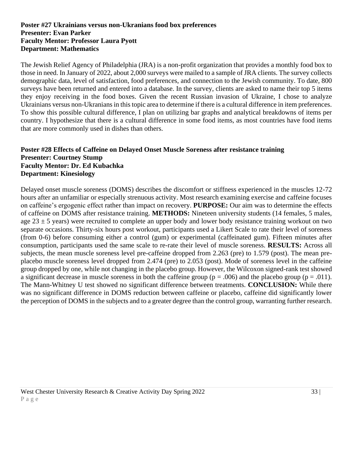#### **Poster #27 Ukrainians versus non-Ukranians food box preferences Presenter: Evan Parker Faculty Mentor: Professor Laura Pyott Department: Mathematics**

The Jewish Relief Agency of Philadelphia (JRA) is a non-profit organization that provides a monthly food box to those in need. In January of 2022, about 2,000 surveys were mailed to a sample of JRA clients. The survey collects demographic data, level of satisfaction, food preferences, and connection to the Jewish community. To date, 800 surveys have been returned and entered into a database. In the survey, clients are asked to name their top 5 items they enjoy receiving in the food boxes. Given the recent Russian invasion of Ukraine, I chose to analyze Ukrainians versus non-Ukranians in this topic area to determine if there is a cultural difference in item preferences. To show this possible cultural difference, I plan on utilizing bar graphs and analytical breakdowns of items per country. I hypothesize that there is a cultural difference in some food items, as most countries have food items that are more commonly used in dishes than others.

#### **Poster #28 Effects of Caffeine on Delayed Onset Muscle Soreness after resistance training Presenter: Courtney Stump Faculty Mentor: Dr. Ed Kubachka Department: Kinesiology**

Delayed onset muscle soreness (DOMS) describes the discomfort or stiffness experienced in the muscles 12-72 hours after an unfamiliar or especially strenuous activity. Most research examining exercise and caffeine focuses on caffeine's ergogenic effect rather than impact on recovery. **PURPOSE:** Our aim was to determine the effects of caffeine on DOMS after resistance training. **METHODS:** Nineteen university students (14 females, 5 males, age  $23 \pm 5$  years) were recruited to complete an upper body and lower body resistance training workout on two separate occasions. Thirty-six hours post workout, participants used a Likert Scale to rate their level of soreness (from 0-6) before consuming either a control (gum) or experimental (caffeinated gum). Fifteen minutes after consumption, participants used the same scale to re-rate their level of muscle soreness. **RESULTS:** Across all subjects, the mean muscle soreness level pre-caffeine dropped from 2.263 (pre) to 1.579 (post). The mean preplacebo muscle soreness level dropped from 2.474 (pre) to 2.053 (post). Mode of soreness level in the caffeine group dropped by one, while not changing in the placebo group. However, the Wilcoxon signed-rank test showed a significant decrease in muscle soreness in both the caffeine group ( $p = .006$ ) and the placebo group ( $p = .011$ ). The Mann-Whitney U test showed no significant difference between treatments. **CONCLUSION:** While there was no significant difference in DOMS reduction between caffeine or placebo, caffeine did significantly lower the perception of DOMS in the subjects and to a greater degree than the control group, warranting further research.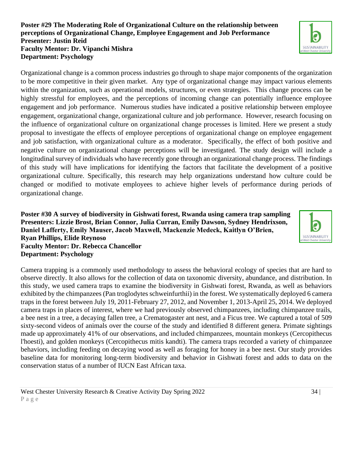#### **Poster #29 The Moderating Role of Organizational Culture on the relationship between perceptions of Organizational Change, Employee Engagement and Job Performance Presenter: Justin Reid Faculty Mentor: Dr. Vipanchi Mishra Department: Psychology**

Organizational change is a common process industries go through to shape major components of the organization to be more competitive in their given market. Any type of organizational change may impact various elements within the organization, such as operational models, structures, or even strategies. This change process can be highly stressful for employees, and the perceptions of incoming change can potentially influence employee engagement and job performance. Numerous studies have indicated a positive relationship between employee engagement, organizational change, organizational culture and job performance. However, research focusing on the influence of organizational culture on organizational change processes is limited. Here we present a study proposal to investigate the effects of employee perceptions of organizational change on employee engagement and job satisfaction, with organizational culture as a moderator. Specifically, the effect of both positive and negative culture on organizational change perceptions will be investigated. The study design will include a longitudinal survey of individuals who have recently gone through an organizational change process. The findings of this study will have implications for identifying the factors that facilitate the development of a positive organizational culture. Specifically, this research may help organizations understand how culture could be changed or modified to motivate employees to achieve higher levels of performance during periods of organizational change.

**Poster #30 A survey of biodiversity in Gishwati forest, Rwanda using camera trap sampling Presenters: Lizzie Brost, Brian Connor, Julia Curran, Emily Dawson, Sydney Hendrixson, Daniel Lafferty, Emily Mauser, Jacob Maxwell, Mackenzie Medeck, Kaitlyn O'Brien, Ryan Phillips, Elide Reynoso Faculty Mentor: Dr. Rebecca Chancellor Department: Psychology**

Camera trapping is a commonly used methodology to assess the behavioral ecology of species that are hard to observe directly. It also allows for the collection of data on taxonomic diversity, abundance, and distribution. In this study, we used camera traps to examine the biodiversity in Gishwati forest, Rwanda, as well as behaviors exhibited by the chimpanzees (Pan troglodytes schweinfurthii) in the forest. We systematically deployed 6 camera traps in the forest between July 19, 2011-February 27, 2012, and November 1, 2013-April 25, 2014. We deployed camera traps in places of interest, where we had previously observed chimpanzees, including chimpanzee trails, a bee nest in a tree, a decaying fallen tree, a Crematogaster ant nest, and a Ficus tree. We captured a total of 509 sixty-second videos of animals over the course of the study and identified 8 different genera. Primate sightings made up approximately 41% of our observations, and included chimpanzees, mountain monkeys (Cercopithecus l'hoesti), and golden monkeys (Cercopithecus mitis kandti). The camera traps recorded a variety of chimpanzee behaviors, including feeding on decaying wood as well as foraging for honey in a bee nest. Our study provides baseline data for monitoring long-term biodiversity and behavior in Gishwati forest and adds to data on the conservation status of a number of IUCN East African taxa.



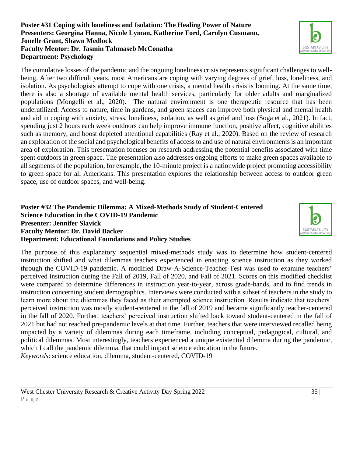#### **Poster #31 Coping with loneliness and Isolation: The Healing Power of Nature Presenters: Georgina Hanna, Nicole Lyman, Katherine Ford, Carolyn Cusmano, Jonelle Grant, Shawn Medlock Faculty Mentor: Dr. Jasmin Tahmaseb McConatha Department: Psychology**

The cumulative losses of the pandemic and the ongoing loneliness crisis represents significant challenges to wellbeing. After two difficult years, most Americans are coping with varying degrees of grief, loss, loneliness, and isolation. As psychologists attempt to cope with one crisis, a mental health crisis is looming. At the same time, there is also a shortage of available mental health services, particularly for older adults and marginalized populations (Mongelli et al., 2020). The natural environment is one therapeutic resource that has been underutilized. Access to nature, time in gardens, and green spaces can improve both physical and mental health and aid in coping with anxiety, stress, loneliness, isolation, as well as grief and loss (Soga et al., 2021). In fact, spending just 2 hours each week outdoors can help improve immune function, positive affect, cognitive abilities such as memory, and boost depleted attentional capabilities (Ray et al., 2020). Based on the review of research an exploration of the social and psychological benefits of access to and use of natural environments is an important area of exploration. This presentation focuses on research addressing the potential benefits associated with time spent outdoors in green space. The presentation also addresses ongoing efforts to make green spaces available to all segments of the population, for example, the 10-minute project is a nationwide project promoting accessibility to green space for all Americans. This presentation explores the relationship between access to outdoor green space, use of outdoor spaces, and well-being.

#### **Poster #32 The Pandemic Dilemma: A Mixed-Methods Study of Student-Centered Science Education in the COVID-19 Pandemic Presenter: Jennifer Slavick Faculty Mentor: Dr. David Backer Department: Educational Foundations and Policy Studies**

The purpose of this explanatory sequential mixed-methods study was to determine how student-centered instruction shifted and what dilemmas teachers experienced in enacting science instruction as they worked through the COVID-19 pandemic. A modified Draw-A-Science-Teacher-Test was used to examine teachers' perceived instruction during the Fall of 2019, Fall of 2020, and Fall of 2021. Scores on this modified checklist were compared to determine differences in instruction year-to-year, across grade-bands, and to find trends in instruction concerning student demographics. Interviews were conducted with a subset of teachers in the study to learn more about the dilemmas they faced as their attempted science instruction. Results indicate that teachers' perceived instruction was mostly student-centered in the fall of 2019 and became significantly teacher-centered in the fall of 2020. Further, teachers' perceived instruction shifted back toward student-centered in the fall of 2021 but had not reached pre-pandemic levels at that time. Further, teachers that were interviewed recalled being impacted by a variety of dilemmas during each timeframe, including conceptual, pedagogical, cultural, and political dilemmas. Most interestingly, teachers experienced a unique existential dilemma during the pandemic, which I call the pandemic dilemma, that could impact science education in the future.

*Keywords*: science education, dilemma, student-centered, COVID-19





West Chester University Research & Creative Activity Day Spring 2022 35 | 35 | P a g e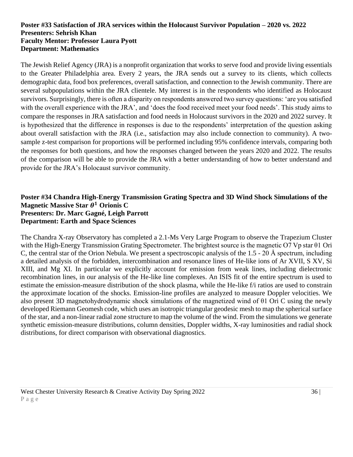#### **Poster #33 Satisfaction of JRA services within the Holocaust Survivor Population – 2020 vs. 2022 Presenters: Sehrish Khan Faculty Mentor: Professor Laura Pyott Department: Mathematics**

The Jewish Relief Agency (JRA) is a nonprofit organization that works to serve food and provide living essentials to the Greater Philadelphia area. Every 2 years, the JRA sends out a survey to its clients, which collects demographic data, food box preferences, overall satisfaction, and connection to the Jewish community. There are several subpopulations within the JRA clientele. My interest is in the respondents who identified as Holocaust survivors. Surprisingly, there is often a disparity on respondents answered two survey questions: 'are you satisfied with the overall experience with the JRA', and 'does the food received meet your food needs'. This study aims to compare the responses in JRA satisfaction and food needs in Holocaust survivors in the 2020 and 2022 survey. It is hypothesized that the difference in responses is due to the respondents' interpretation of the question asking about overall satisfaction with the JRA (i.e., satisfaction may also include connection to community). A twosample z-test comparison for proportions will be performed including 95% confidence intervals, comparing both the responses for both questions, and how the responses changed between the years 2020 and 2022. The results of the comparison will be able to provide the JRA with a better understanding of how to better understand and provide for the JRA's Holocaust survivor community.

#### **Poster #34 Chandra High-Energy Transmission Grating Spectra and 3D Wind Shock Simulations of the**   $\mathbf M$ agnetic Massive Star  $\boldsymbol \theta^1$  Orionis C **Presenters: Dr. Marc Gagné, Leigh Parrott Department: Earth and Space Sciences**

The Chandra X-ray Observatory has completed a 2.1-Ms Very Large Program to observe the Trapezium Cluster with the High-Energy Transmission Grating Spectrometer. The brightest source is the magnetic O7 Vp star θ1 Ori C, the central star of the Orion Nebula. We present a spectroscopic analysis of the 1.5 - 20 Å spectrum, including a detailed analysis of the forbidden, intercombination and resonance lines of He-like ions of Ar XVII, S XV, Si XIII, and Mg XI. In particular we explicitly account for emission from weak lines, including dielectronic recombination lines, in our analysis of the He-like line complexes. An ISIS fit of the entire spectrum is used to estimate the emission-measure distribution of the shock plasma, while the He-like f/i ratios are used to constrain the approximate location of the shocks. Emission-line profiles are analyzed to measure Doppler velocities. We also present 3D magnetohydrodynamic shock simulations of the magnetized wind of θ1 Ori C using the newly developed Riemann Geomesh code, which uses an isotropic triangular geodesic mesh to map the spherical surface of the star, and a non-linear radial zone structure to map the volume of the wind. From the simulations we generate synthetic emission-measure distributions, column densities, Doppler widths, X-ray luminosities and radial shock distributions, for direct comparison with observational diagnostics.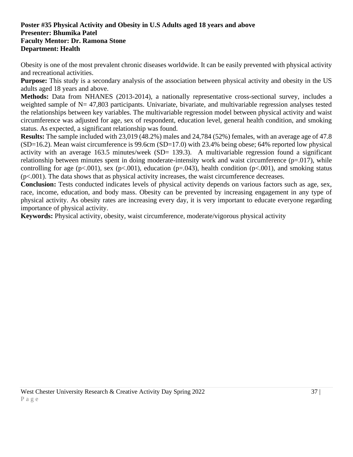#### **Poster #35 Physical Activity and Obesity in U.S Adults aged 18 years and above Presenter: Bhumika Patel Faculty Mentor: Dr. Ramona Stone Department: Health**

Obesity is one of the most prevalent chronic diseases worldwide. It can be easily prevented with physical activity and recreational activities.

**Purpose:** This study is a secondary analysis of the association between physical activity and obesity in the US adults aged 18 years and above.

**Methods:** Data from NHANES (2013-2014), a nationally representative cross-sectional survey, includes a weighted sample of N= 47,803 participants. Univariate, bivariate, and multivariable regression analyses tested the relationships between key variables. The multivariable regression model between physical activity and waist circumference was adjusted for age, sex of respondent, education level, general health condition, and smoking status. As expected, a significant relationship was found.

**Results:** The sample included with 23,019 (48.2%) males and 24,784 (52%) females, with an average age of 47.8  $(SD=16.2)$ . Mean waist circumference is 99.6cm  $(SD=17.0)$  with 23.4% being obese; 64% reported low physical activity with an average 163.5 minutes/week (SD= 139.3). A multivariable regression found a significant relationship between minutes spent in doing moderate-intensity work and waist circumference  $(p=017)$ , while controlling for age ( $p<.001$ ), sex ( $p<.001$ ), education ( $p=.043$ ), health condition ( $p<.001$ ), and smoking status (p<.001). The data shows that as physical activity increases, the waist circumference decreases.

**Conclusion:** Tests conducted indicates levels of physical activity depends on various factors such as age, sex, race, income, education, and body mass. Obesity can be prevented by increasing engagement in any type of physical activity. As obesity rates are increasing every day, it is very important to educate everyone regarding importance of physical activity.

**Keywords:** Physical activity, obesity, waist circumference, moderate/vigorous physical activity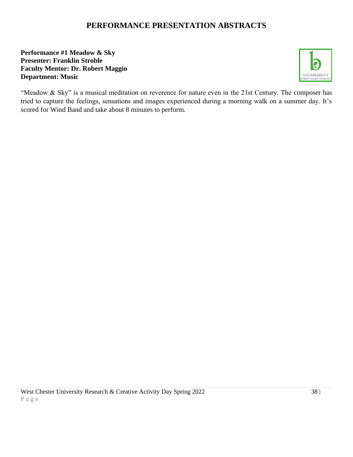# **PERFORMANCE PRESENTATION ABSTRACTS**

#### **Performance #1 Meadow & Sky Presenter: Franklin Stroble Faculty Mentor: Dr. Robert Maggio Department: Music**



"Meadow & Sky" is a musical meditation on reverence for nature even in the 21st Century. The composer has tried to capture the feelings, sensations and images experienced during a morning walk on a summer day. It's scored for Wind Band and take about 8 minutes to perform.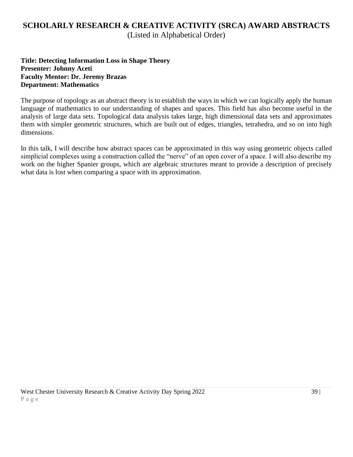## **SCHOLARLY RESEARCH & CREATIVE ACTIVITY (SRCA) AWARD ABSTRACTS** (Listed in Alphabetical Order)

**Title: Detecting Information Loss in Shape Theory Presenter: Johnny Aceti Faculty Mentor: Dr. Jeremy Brazas Department: Mathematics**

The purpose of topology as an abstract theory is to establish the ways in which we can logically apply the human language of mathematics to our understanding of shapes and spaces. This field has also become useful in the analysis of large data sets. Topological data analysis takes large, high dimensional data sets and approximates them with simpler geometric structures, which are built out of edges, triangles, tetrahedra, and so on into high dimensions.

In this talk, I will describe how abstract spaces can be approximated in this way using geometric objects called simplicial complexes using a construction called the "nerve" of an open cover of a space. I will also describe my work on the higher Spanier groups, which are algebraic structures meant to provide a description of precisely what data is lost when comparing a space with its approximation.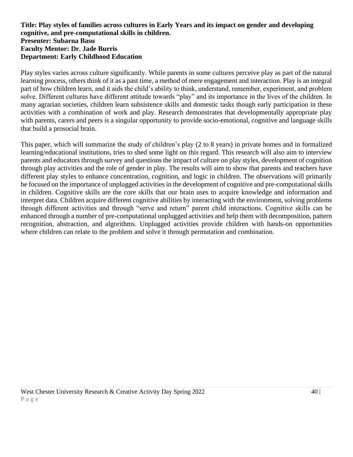#### **Title: Play styles of families across cultures in Early Years and its impact on gender and developing cognitive, and pre-computational skills in children. Presenter: Subarna Basu Faculty Mentor: Dr. Jade Burris Department: Early Childhood Education**

Play styles varies across culture significantly. While parents in some cultures perceive play as part of the natural learning process, others think of it as a past time, a method of mere engagement and interaction. Play is an integral part of how children learn, and it aids the child's ability to think, understand, remember, experiment, and problem solve. Different cultures have different attitude towards "play" and its importance in the lives of the children. In many agrarian societies, children learn subsistence skills and domestic tasks though early participation in these activities with a combination of work and play. Research demonstrates that developmentally appropriate play with parents, carers and peers is a singular opportunity to provide socio-emotional, cognitive and language skills that build a prosocial brain.

This paper, which will summarize the study of children's play (2 to 8 years) in private homes and in formalized learning/educational institutions, tries to shed some light on this regard. This research will also aim to interview parents and educators through survey and questions the impact of culture on play styles, development of cognition through play activities and the role of gender in play. The results will aim to show that parents and teachers have different play styles to enhance concentration, cognition, and logic in children. The observations will primarily be focused on the importance of unplugged activities in the development of cognitive and pre-computational skills in children. Cognitive skills are the core skills that our brain uses to acquire knowledge and information and interpret data. Children acquire different cognitive abilities by interacting with the environment, solving problems through different activities and through "serve and return" parent child interactions. Cognitive skills can be enhanced through a number of pre-computational unplugged activities and help them with decomposition, pattern recognition, abstraction, and algorithms. Unplugged activities provide children with hands-on opportunities where children can relate to the problem and solve it through permutation and combination.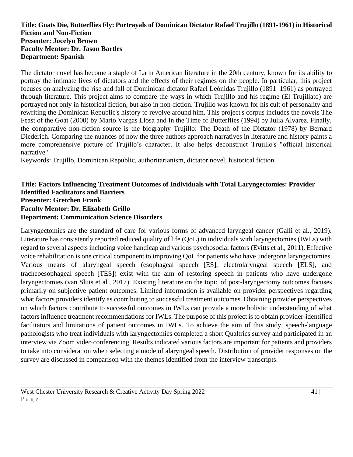#### **Title: Goats Die, Butterflies Fly: Portrayals of Dominican Dictator Rafael Trujillo (1891-1961) in Historical Fiction and Non-Fiction Presenter: Jocelyn Brown Faculty Mentor: Dr. Jason Bartles Department: Spanish**

The dictator novel has become a staple of Latin American literature in the 20th century, known for its ability to portray the intimate lives of dictators and the effects of their regimes on the people. In particular, this project focuses on analyzing the rise and fall of Dominican dictator Rafael Leónidas Trujillo (1891–1961) as portrayed through literature. This project aims to compare the ways in which Trujillo and his regime (El Trujillato) are portrayed not only in historical fiction, but also in non-fiction. Trujillo was known for his cult of personality and rewriting the Dominican Republic's history to revolve around him. This project's corpus includes the novels The Feast of the Goat (2000) by Mario Vargas Llosa and In the Time of Butterflies (1994) by Julia Alvarez. Finally, the comparative non-fiction source is the biography Trujillo: The Death of the Dictator (1978) by Bernard Diederich. Comparing the nuances of how the three authors approach narratives in literature and history paints a more comprehensive picture of Trujillo's character. It also helps deconstruct Trujillo's "official historical narrative."

Keywords: Trujillo, Dominican Republic, authoritarianism, dictator novel, historical fiction

#### **Title: Factors Influencing Treatment Outcomes of Individuals with Total Laryngectomies: Provider Identified Facilitators and Barriers Presenter: Gretchen Frank Faculty Mentor: Dr. Elizabeth Grillo Department: Communication Science Disorders**

Laryngectomies are the standard of care for various forms of advanced laryngeal cancer (Galli et al., 2019). Literature has consistently reported reduced quality of life (QoL) in individuals with laryngectomies (IWLs) with regard to several aspects including voice handicap and various psychosocial factors (Evitts et al., 2011). Effective voice rehabilitation is one critical component to improving QoL for patients who have undergone laryngectomies. Various means of alaryngeal speech (esophageal speech [ES], electrolaryngeal speech [ELS], and tracheoesophageal speech [TES]) exist with the aim of restoring speech in patients who have undergone laryngectomies (van Sluis et al., 2017). Existing literature on the topic of post-laryngectomy outcomes focuses primarily on subjective patient outcomes. Limited information is available on provider perspectives regarding what factors providers identify as contributing to successful treatment outcomes. Obtaining provider perspectives on which factors contribute to successful outcomes in IWLs can provide a more holistic understanding of what factors influence treatment recommendations for IWLs. The purpose of this project is to obtain provider-identified facilitators and limitations of patient outcomes in IWLs. To achieve the aim of this study, speech-language pathologists who treat individuals with laryngectomies completed a short Qualtrics survey and participated in an interview via Zoom video conferencing. Results indicated various factors are important for patients and providers to take into consideration when selecting a mode of alaryngeal speech. Distribution of provider responses on the survey are discussed in comparison with the themes identified from the interview transcripts.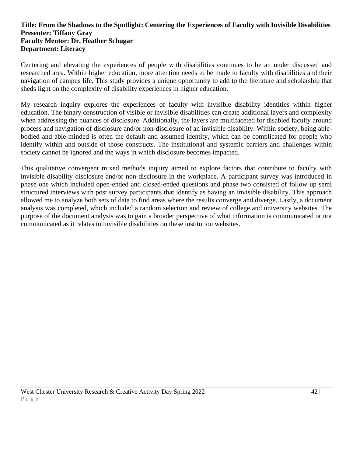#### **Title: From the Shadows to the Spotlight: Centering the Experiences of Faculty with Invisible Disabilities Presenter: Tiffany Gray Faculty Mentor: Dr. Heather Schugar Department: Literacy**

Centering and elevating the experiences of people with disabilities continues to be an under discussed and researched area. Within higher education, more attention needs to be made to faculty with disabilities and their navigation of campus life. This study provides a unique opportunity to add to the literature and scholarship that sheds light on the complexity of disability experiences in higher education.

My research inquiry explores the experiences of faculty with invisible disability identities within higher education. The binary construction of visible or invisible disabilities can create additional layers and complexity when addressing the nuances of disclosure. Additionally, the layers are multifaceted for disabled faculty around process and navigation of disclosure and/or non-disclosure of an invisible disability. Within society, being ablebodied and able-minded is often the default and assumed identity, which can be complicated for people who identify within and outside of those constructs. The institutional and systemic barriers and challenges within society cannot be ignored and the ways in which disclosure becomes impacted.

This qualitative convergent mixed methods inquiry aimed to explore factors that contribute to faculty with invisible disability disclosure and/or non-disclosure in the workplace. A participant survey was introduced in phase one which included open-ended and closed-ended questions and phase two consisted of follow up semi structured interviews with post survey participants that identify as having an invisible disability. This approach allowed me to analyze both sets of data to find areas where the results converge and diverge. Lastly, a document analysis was completed, which included a random selection and review of college and university websites. The purpose of the document analysis was to gain a broader perspective of what information is communicated or not communicated as it relates to invisible disabilities on these institution websites.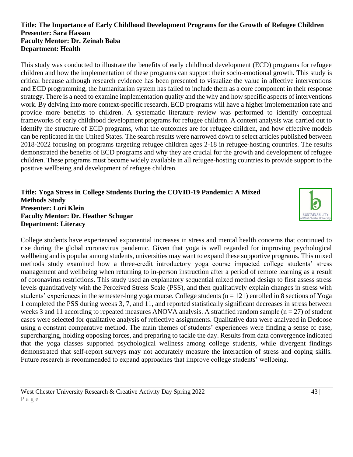#### **Title: The Importance of Early Childhood Development Programs for the Growth of Refugee Children Presenter: Sara Hassan Faculty Mentor: Dr. Zeinab Baba Department: Health**

This study was conducted to illustrate the benefits of early childhood development (ECD) programs for refugee children and how the implementation of these programs can support their socio-emotional growth. This study is critical because although research evidence has been presented to visualize the value in affective interventions and ECD programming, the humanitarian system has failed to include them as a core component in their response strategy. There is a need to examine implementation quality and the why and how specific aspects of interventions work. By delving into more context-specific research, ECD programs will have a higher implementation rate and provide more benefits to children. A systematic literature review was performed to identify conceptual frameworks of early childhood development programs for refugee children. A content analysis was carried out to identify the structure of ECD programs, what the outcomes are for refugee children, and how effective models can be replicated in the United States. The search results were narrowed down to select articles published between 2018-2022 focusing on programs targeting refugee children ages 2-18 in refugee-hosting countries. The results demonstrated the benefits of ECD programs and why they are crucial for the growth and development of refugee children. These programs must become widely available in all refugee-hosting countries to provide support to the positive wellbeing and development of refugee children.

#### **Title: Yoga Stress in College Students During the COVID-19 Pandemic: A Mixed Methods Study Presenter: Lori Klein Faculty Mentor: Dr. Heather Schugar Department: Literacy**



College students have experienced exponential increases in stress and mental health concerns that continued to rise during the global coronavirus pandemic. Given that yoga is well regarded for improving psychological wellbeing and is popular among students, universities may want to expand these supportive programs. This mixed methods study examined how a three-credit introductory yoga course impacted college students' stress management and wellbeing when returning to in-person instruction after a period of remote learning as a result of coronavirus restrictions. This study used an explanatory sequential mixed method design to first assess stress levels quantitatively with the Perceived Stress Scale (PSS), and then qualitatively explain changes in stress with students' experiences in the semester-long yoga course. College students (n = 121) enrolled in 8 sections of Yoga 1 completed the PSS during weeks 3, 7, and 11, and reported statistically significant decreases in stress between weeks 3 and 11 according to repeated measures ANOVA analysis. A stratified random sample ( $n = 27$ ) of student cases were selected for qualitative analysis of reflective assignments. Qualitative data were analyzed in Dedoose using a constant comparative method. The main themes of students' experiences were finding a sense of ease, supercharging, holding opposing forces, and preparing to tackle the day. Results from data convergence indicated that the yoga classes supported psychological wellness among college students, while divergent findings demonstrated that self-report surveys may not accurately measure the interaction of stress and coping skills. Future research is recommended to expand approaches that improve college students' wellbeing.

West Chester University Research & Creative Activity Day Spring 2022 43 | 43 | P a g e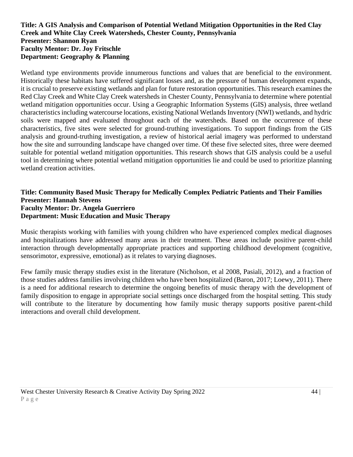#### **Title: A GIS Analysis and Comparison of Potential Wetland Mitigation Opportunities in the Red Clay Creek and White Clay Creek Watersheds, Chester County, Pennsylvania Presenter: Shannon Ryan Faculty Mentor: Dr. Joy Fritschle Department: Geography & Planning**

Wetland type environments provide innumerous functions and values that are beneficial to the environment. Historically these habitats have suffered significant losses and, as the pressure of human development expands, it is crucial to preserve existing wetlands and plan for future restoration opportunities. This research examines the Red Clay Creek and White Clay Creek watersheds in Chester County, Pennsylvania to determine where potential wetland mitigation opportunities occur. Using a Geographic Information Systems (GIS) analysis, three wetland characteristics including watercourse locations, existing National Wetlands Inventory (NWI) wetlands, and hydric soils were mapped and evaluated throughout each of the watersheds. Based on the occurrence of these characteristics, five sites were selected for ground-truthing investigations. To support findings from the GIS analysis and ground-truthing investigation, a review of historical aerial imagery was performed to understand how the site and surrounding landscape have changed over time. Of these five selected sites, three were deemed suitable for potential wetland mitigation opportunities. This research shows that GIS analysis could be a useful tool in determining where potential wetland mitigation opportunities lie and could be used to prioritize planning wetland creation activities.

#### **Title: Community Based Music Therapy for Medically Complex Pediatric Patients and Their Families Presenter: Hannah Stevens Faculty Mentor: Dr. Angela Guerriero Department: Music Education and Music Therapy**

Music therapists working with families with young children who have experienced complex medical diagnoses and hospitalizations have addressed many areas in their treatment. These areas include positive parent-child interaction through developmentally appropriate practices and supporting childhood development (cognitive, sensorimotor, expressive, emotional) as it relates to varying diagnoses.

Few family music therapy studies exist in the literature (Nicholson, et al 2008, Pasiali, 2012), and a fraction of those studies address families involving children who have been hospitalized (Baron, 2017; Loewy, 2011). There is a need for additional research to determine the ongoing benefits of music therapy with the development of family disposition to engage in appropriate social settings once discharged from the hospital setting. This study will contribute to the literature by documenting how family music therapy supports positive parent-child interactions and overall child development.